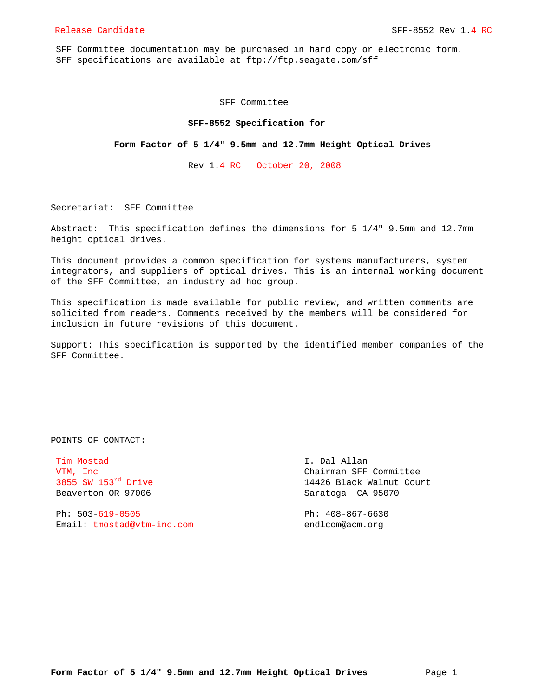SFF Committee documentation may be purchased in hard copy or electronic form. SFF specifications are available at ftp://ftp.seagate.com/sff

SFF Committee

#### **SFF-8552 Specification for**

#### **Form Factor of 5 1/4" 9.5mm and 12.7mm Height Optical Drives**

Rev 1.4 RC October 20, 2008

Secretariat: SFF Committee

Abstract: This specification defines the dimensions for 5 1/4" 9.5mm and 12.7mm height optical drives.

This document provides a common specification for systems manufacturers, system integrators, and suppliers of optical drives. This is an internal working document of the SFF Committee, an industry ad hoc group.

This specification is made available for public review, and written comments are solicited from readers. Comments received by the members will be considered for inclusion in future revisions of this document.

Support: This specification is supported by the identified member companies of the SFF Committee.

POINTS OF CONTACT:

Tim Mostad I. Dal Allan Beaverton OR 97006 Saratoga CA 95070

 Ph: 503-619-0505 Ph: 408-867-6630 Email: tmostad@vtm-inc.com endlcom@acm.org

VTM, Inc Chairman SFF Committee 3855 SW 153<sup>rd</sup> Drive 14426 Black Walnut Court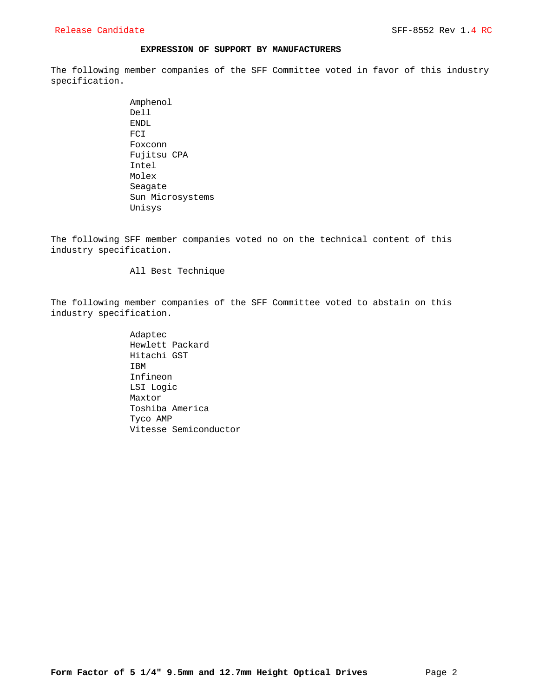## **EXPRESSION OF SUPPORT BY MANUFACTURERS**

The following member companies of the SFF Committee voted in favor of this industry specification.

> Amphenol Dell ENDL FCI Foxconn Fujitsu CPA Intel Molex Seagate Sun Microsystems Unisys

The following SFF member companies voted no on the technical content of this industry specification.

## All Best Technique

The following member companies of the SFF Committee voted to abstain on this industry specification.

> Adaptec Hewlett Packard Hitachi GST IBM Infineon LSI Logic Maxtor Toshiba America Tyco AMP Vitesse Semiconductor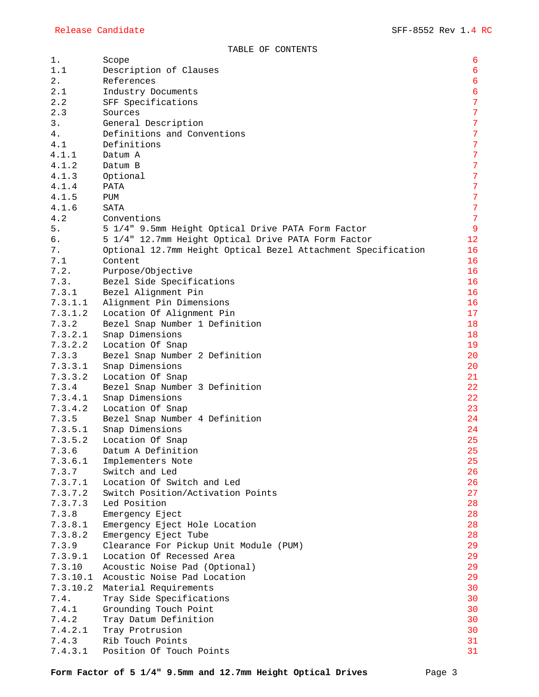| $1$ .    | Scope                                                         | $\epsilon$       |
|----------|---------------------------------------------------------------|------------------|
| 1.1      | Description of Clauses                                        | $\boldsymbol{6}$ |
| $2$ .    | References                                                    | $\sqrt{6}$       |
| 2.1      | Industry Documents                                            | $\sqrt{6}$       |
| 2.2      | SFF Specifications                                            | $\overline{7}$   |
| 2.3      | Sources                                                       | $\overline{7}$   |
| 3.       | General Description                                           | $\overline{7}$   |
| 4.       | Definitions and Conventions                                   | $\overline{7}$   |
| 4.1      | Definitions                                                   | $\overline{7}$   |
| 4.1.1    | Datum A                                                       | $\overline{7}$   |
| 4.1.2    | Datum B                                                       | $\overline{7}$   |
| 4.1.3    | Optional                                                      | $\overline{7}$   |
| 4.1.4    | PATA                                                          | $\overline{7}$   |
| 4.1.5    | PUM                                                           | $\overline{7}$   |
| 4.1.6    | SATA                                                          | $\overline{7}$   |
| 4.2      | Conventions                                                   | $\overline{7}$   |
| 5.       | 5 1/4" 9.5mm Height Optical Drive PATA Form Factor            | $\overline{9}$   |
| б.       |                                                               | 12               |
|          | 5 1/4" 12.7mm Height Optical Drive PATA Form Factor           |                  |
| 7.       | Optional 12.7mm Height Optical Bezel Attachment Specification | 16               |
| 7.1      | Content                                                       | 16               |
| 7.2.     | Purpose/Objective                                             | 16               |
| 7.3.     | Bezel Side Specifications                                     | 16               |
| 7.3.1    | Bezel Alignment Pin                                           | 16               |
| 7.3.1.1  | Alignment Pin Dimensions                                      | 16               |
| 7.3.1.2  | Location Of Alignment Pin                                     | 17               |
| 7.3.2    | Bezel Snap Number 1 Definition                                | 18               |
| 7.3.2.1  | Snap Dimensions                                               | 18               |
| 7.3.2.2  | Location Of Snap                                              | 19               |
| 7.3.3    | Bezel Snap Number 2 Definition                                | 20               |
| 7.3.3.1  | Snap Dimensions                                               | 20               |
| 7.3.3.2  | Location Of Snap                                              | 21               |
| 7.3.4    | Bezel Snap Number 3 Definition                                | 22               |
| 7.3.4.1  | Snap Dimensions                                               | 22               |
| 7.3.4.2  | Location Of Snap                                              | 23               |
| 7.3.5    | Bezel Snap Number 4 Definition                                | 24               |
| 7.3.5.1  | Snap Dimensions                                               | 24               |
| 7.3.5.2  | Location Of Snap                                              | 25               |
| 7.3.6    | Datum A Definition                                            | 25               |
| 7.3.6.1  | Implementers Note                                             | 25               |
| 7.3.7    | Switch and Led                                                | 26               |
| 7.3.7.1  | Location Of Switch and Led                                    | 26               |
| 7.3.7.2  | Switch Position/Activation Points                             | 27               |
| 7.3.7.3  | Led Position                                                  | 28               |
| 7.3.8    | Emergency Eject                                               | 28               |
| 7.3.8.1  | Emergency Eject Hole Location                                 | 28               |
| 7.3.8.2  | Emergency Eject Tube                                          | 28               |
| 7.3.9    | Clearance For Pickup Unit Module (PUM)                        | 29               |
| 7.3.9.1  | Location Of Recessed Area                                     | 29               |
| 7.3.10   | Acoustic Noise Pad (Optional)                                 | 29               |
| 7.3.10.1 | Acoustic Noise Pad Location                                   | 29               |
|          | 7.3.10.2 Material Requirements                                | 30               |
| 7.4.     | Tray Side Specifications                                      | 30               |
|          |                                                               | 30               |
| 7.4.1    | Grounding Touch Point                                         | 30               |
| 7.4.2    | Tray Datum Definition                                         |                  |
| 7.4.2.1  | Tray Protrusion                                               | 30               |
| 7.4.3    | Rib Touch Points                                              | 31               |
| 7.4.3.1  | Position Of Touch Points                                      | 31               |

Form Factor of 5 1/4" 9.5mm and 12.7mm Height Optical Drives Page 3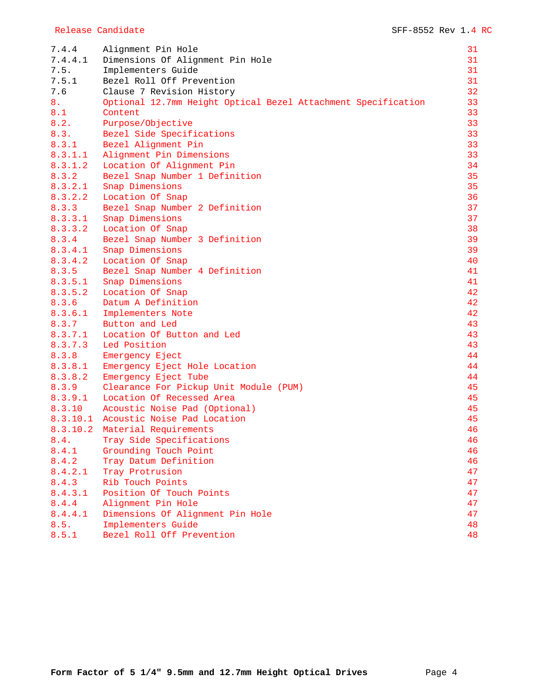| 7.4.4   | Alignment Pin Hole                                            | 31 |
|---------|---------------------------------------------------------------|----|
| 7.4.4.1 | Dimensions Of Alignment Pin Hole                              | 31 |
| 7.5.    | Implementers Guide                                            | 31 |
| 7.5.1   | Bezel Roll Off Prevention                                     | 31 |
| 7.6     | Clause 7 Revision History                                     | 32 |
| 8.      | Optional 12.7mm Height Optical Bezel Attachment Specification | 33 |
| 8.1     | Content                                                       | 33 |
| 8.2.    | Purpose/Objective                                             | 33 |
| 8.3.    | Bezel Side Specifications                                     | 33 |
| 8.3.1   | Bezel Alignment Pin                                           | 33 |
| 8.3.1.1 | Alignment Pin Dimensions                                      | 33 |
| 8.3.1.2 | Location Of Alignment Pin                                     | 34 |
| 8.3.2   | Bezel Snap Number 1 Definition                                | 35 |
| 8.3.2.1 | Snap Dimensions                                               | 35 |
| 8.3.2.2 | Location Of Snap                                              | 36 |
| 8.3.3   | Bezel Snap Number 2 Definition                                | 37 |
| 8.3.3.1 | Snap Dimensions                                               | 37 |
| 8.3.3.2 | Location Of Snap                                              | 38 |
| 8.3.4   | Bezel Snap Number 3 Definition                                | 39 |
| 8.3.4.1 | Snap Dimensions                                               | 39 |
| 8.3.4.2 | Location Of Snap                                              | 40 |
| 8.3.5   | Bezel Snap Number 4 Definition                                | 41 |
| 8.3.5.1 | Snap Dimensions                                               | 41 |
| 8.3.5.2 | Location Of Snap                                              | 42 |
| 8.3.6   | Datum A Definition                                            | 42 |
| 8.3.6.1 | Implementers Note                                             | 42 |
| 8.3.7   | Button and Led                                                | 43 |
| 8.3.7.1 | Location Of Button and Led                                    | 43 |
| 8.3.7.3 | Led Position                                                  | 43 |
| 8.3.8   | Emergency Eject                                               | 44 |
| 8.3.8.1 | Emergency Eject Hole Location                                 | 44 |
| 8.3.8.2 | Emergency Eject Tube                                          | 44 |
| 8.3.9   | Clearance For Pickup Unit Module (PUM)                        | 45 |
| 8.3.9.1 | Location Of Recessed Area                                     | 45 |
| 8.3.10  | Acoustic Noise Pad (Optional)                                 | 45 |
|         | 8.3.10.1 Acoustic Noise Pad Location                          | 45 |
|         | 8.3.10.2 Material Requirements                                | 46 |
| 8.4.    | Tray Side Specifications                                      | 46 |
| 8.4.1   | Grounding Touch Point                                         | 46 |
| 8.4.2   | Tray Datum Definition                                         | 46 |
| 8.4.2.1 | Tray Protrusion                                               | 47 |
| 8.4.3   | Rib Touch Points                                              | 47 |
| 8.4.3.1 | Position Of Touch Points                                      | 47 |
| 8.4.4   | Alignment Pin Hole                                            | 47 |
| 8.4.4.1 | Dimensions Of Alignment Pin Hole                              | 47 |
| 8.5.    | Implementers Guide                                            | 48 |
| 8.5.1   | Bezel Roll Off Prevention                                     | 48 |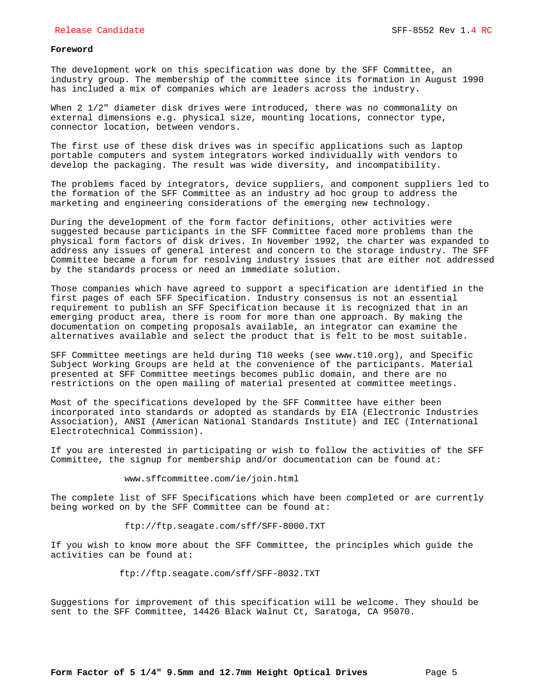## **Foreword**

The development work on this specification was done by the SFF Committee, an industry group. The membership of the committee since its formation in August 1990 has included a mix of companies which are leaders across the industry.

When 2 1/2" diameter disk drives were introduced, there was no commonality on external dimensions e.g. physical size, mounting locations, connector type, connector location, between vendors.

The first use of these disk drives was in specific applications such as laptop portable computers and system integrators worked individually with vendors to develop the packaging. The result was wide diversity, and incompatibility.

The problems faced by integrators, device suppliers, and component suppliers led to the formation of the SFF Committee as an industry ad hoc group to address the marketing and engineering considerations of the emerging new technology.

During the development of the form factor definitions, other activities were suggested because participants in the SFF Committee faced more problems than the physical form factors of disk drives. In November 1992, the charter was expanded to address any issues of general interest and concern to the storage industry. The SFF Committee became a forum for resolving industry issues that are either not addressed by the standards process or need an immediate solution.

Those companies which have agreed to support a specification are identified in the first pages of each SFF Specification. Industry consensus is not an essential requirement to publish an SFF Specification because it is recognized that in an emerging product area, there is room for more than one approach. By making the documentation on competing proposals available, an integrator can examine the alternatives available and select the product that is felt to be most suitable.

SFF Committee meetings are held during T10 weeks (see www.t10.org), and Specific Subject Working Groups are held at the convenience of the participants. Material presented at SFF Committee meetings becomes public domain, and there are no restrictions on the open mailing of material presented at committee meetings.

Most of the specifications developed by the SFF Committee have either been incorporated into standards or adopted as standards by EIA (Electronic Industries Association), ANSI (American National Standards Institute) and IEC (International Electrotechnical Commission).

If you are interested in participating or wish to follow the activities of the SFF Committee, the signup for membership and/or documentation can be found at:

#### www.sffcommittee.com/ie/join.html

The complete list of SFF Specifications which have been completed or are currently being worked on by the SFF Committee can be found at:

ftp://ftp.seagate.com/sff/SFF-8000.TXT

If you wish to know more about the SFF Committee, the principles which guide the activities can be found at:

ftp://ftp.seagate.com/sff/SFF-8032.TXT

Suggestions for improvement of this specification will be welcome. They should be sent to the SFF Committee, 14426 Black Walnut Ct, Saratoga, CA 95070.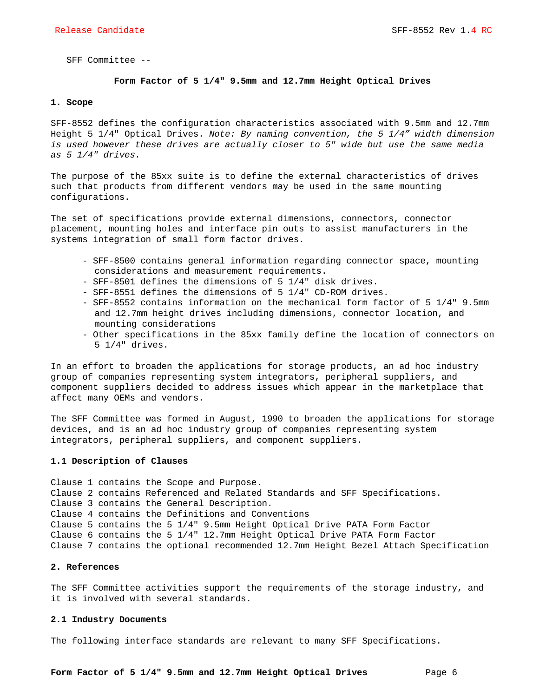SFF Committee --

## **Form Factor of 5 1/4" 9.5mm and 12.7mm Height Optical Drives**

#### **1. Scope**

SFF-8552 defines the configuration characteristics associated with 9.5mm and 12.7mm Height 5 1/4" Optical Drives. *Note: By naming convention, the 5 1/4" width dimension is used however these drives are actually closer to 5" wide but use the same media as 5 1/4" drives.*

The purpose of the 85xx suite is to define the external characteristics of drives such that products from different vendors may be used in the same mounting configurations.

The set of specifications provide external dimensions, connectors, connector placement, mounting holes and interface pin outs to assist manufacturers in the systems integration of small form factor drives.

- SFF-8500 contains general information regarding connector space, mounting considerations and measurement requirements.
- SFF-8501 defines the dimensions of 5 1/4" disk drives.
- SFF-8551 defines the dimensions of 5 1/4" CD-ROM drives.
- SFF-8552 contains information on the mechanical form factor of 5 1/4" 9.5mm and 12.7mm height drives including dimensions, connector location, and mounting considerations
- Other specifications in the 85xx family define the location of connectors on 5 1/4" drives.

In an effort to broaden the applications for storage products, an ad hoc industry group of companies representing system integrators, peripheral suppliers, and component suppliers decided to address issues which appear in the marketplace that affect many OEMs and vendors.

The SFF Committee was formed in August, 1990 to broaden the applications for storage devices, and is an ad hoc industry group of companies representing system integrators, peripheral suppliers, and component suppliers.

#### **1.1 Description of Clauses**

Clause 1 contains the Scope and Purpose. Clause 2 contains Referenced and Related Standards and SFF Specifications. Clause 3 contains the General Description. Clause 4 contains the Definitions and Conventions Clause 5 contains the 5 1/4" 9.5mm Height Optical Drive PATA Form Factor Clause 6 contains the 5 1/4" 12.7mm Height Optical Drive PATA Form Factor Clause 7 contains the optional recommended 12.7mm Height Bezel Attach Specification

#### **2. References**

The SFF Committee activities support the requirements of the storage industry, and it is involved with several standards.

#### **2.1 Industry Documents**

The following interface standards are relevant to many SFF Specifications.

Form Factor of 5 1/4" 9.5mm and 12.7mm Height Optical Drives Page 6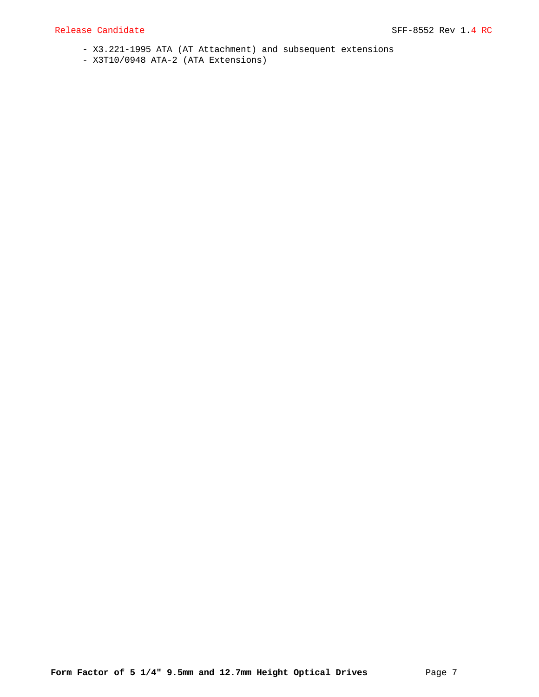- X3.221-1995 ATA (AT Attachment) and subsequent extensions
- X3T10/0948 ATA-2 (ATA Extensions)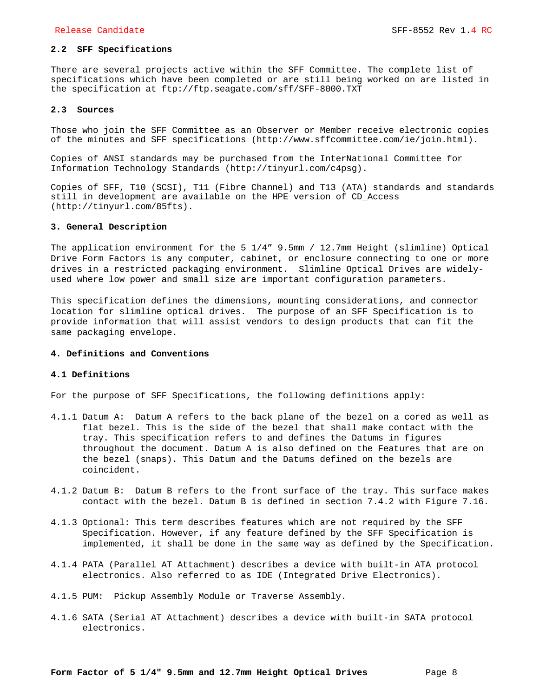## **2.2 SFF Specifications**

There are several projects active within the SFF Committee. The complete list of specifications which have been completed or are still being worked on are listed in the specification at ftp://ftp.seagate.com/sff/SFF-8000.TXT

#### **2.3 Sources**

Those who join the SFF Committee as an Observer or Member receive electronic copies of the minutes and SFF specifications (http://www.sffcommittee.com/ie/join.html).

Copies of ANSI standards may be purchased from the InterNational Committee for Information Technology Standards (http://tinyurl.com/c4psg).

Copies of SFF, T10 (SCSI), T11 (Fibre Channel) and T13 (ATA) standards and standards still in development are available on the HPE version of CD\_Access (http://tinyurl.com/85fts).

#### **3. General Description**

The application environment for the 5  $1/4$ " 9.5mm / 12.7mm Height (slimline) Optical Drive Form Factors is any computer, cabinet, or enclosure connecting to one or more drives in a restricted packaging environment. Slimline Optical Drives are widelyused where low power and small size are important configuration parameters.

This specification defines the dimensions, mounting considerations, and connector location for slimline optical drives. The purpose of an SFF Specification is to provide information that will assist vendors to design products that can fit the same packaging envelope.

## **4. Definitions and Conventions**

#### **4.1 Definitions**

For the purpose of SFF Specifications, the following definitions apply:

- 4.1.1 Datum A: Datum A refers to the back plane of the bezel on a cored as well as flat bezel. This is the side of the bezel that shall make contact with the tray. This specification refers to and defines the Datums in figures throughout the document. Datum A is also defined on the Features that are on the bezel (snaps). This Datum and the Datums defined on the bezels are coincident.
- 4.1.2 Datum B: Datum B refers to the front surface of the tray. This surface makes contact with the bezel. Datum B is defined in section 7.4.2 with Figure 7.16.
- 4.1.3 Optional: This term describes features which are not required by the SFF Specification. However, if any feature defined by the SFF Specification is implemented, it shall be done in the same way as defined by the Specification.
- 4.1.4 PATA (Parallel AT Attachment) describes a device with built-in ATA protocol electronics. Also referred to as IDE (Integrated Drive Electronics).
- 4.1.5 PUM: Pickup Assembly Module or Traverse Assembly.
- 4.1.6 SATA (Serial AT Attachment) describes a device with built-in SATA protocol electronics.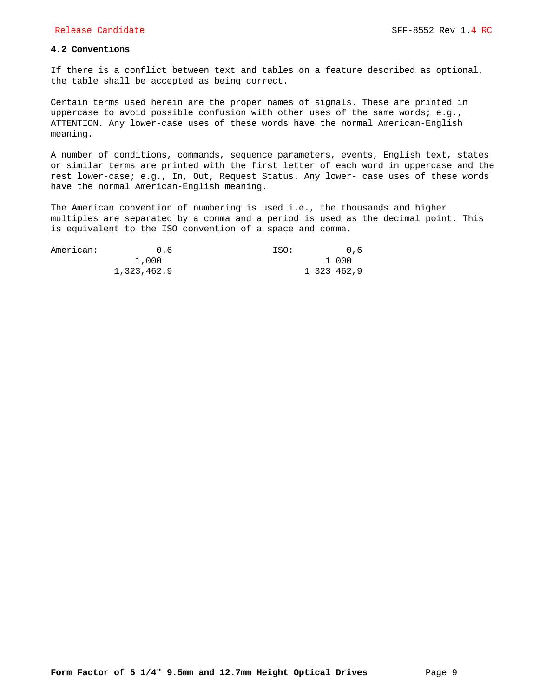## **4.2 Conventions**

If there is a conflict between text and tables on a feature described as optional, the table shall be accepted as being correct.

Certain terms used herein are the proper names of signals. These are printed in uppercase to avoid possible confusion with other uses of the same words; e.g., ATTENTION. Any lower-case uses of these words have the normal American-English meaning.

A number of conditions, commands, sequence parameters, events, English text, states or similar terms are printed with the first letter of each word in uppercase and the rest lower-case; e.g., In, Out, Request Status. Any lower- case uses of these words have the normal American-English meaning.

The American convention of numbering is used i.e., the thousands and higher multiples are separated by a comma and a period is used as the decimal point. This is equivalent to the ISO convention of a space and comma.

| American: | 0.6         | ISO: | 0.6         |
|-----------|-------------|------|-------------|
|           | 1,000       |      | 1 000       |
|           | 1,323,462.9 |      | 1 323 462.9 |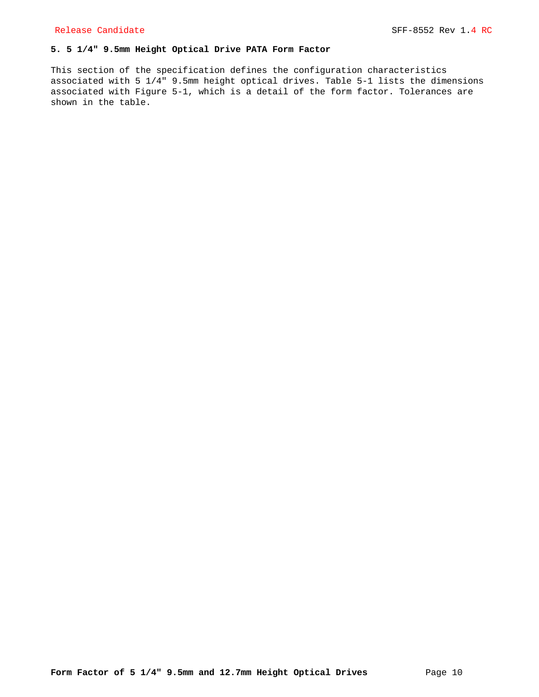## **5. 5 1/4" 9.5mm Height Optical Drive PATA Form Factor**

This section of the specification defines the configuration characteristics associated with 5 1/4" 9.5mm height optical drives. Table 5-1 lists the dimensions associated with Figure 5-1, which is a detail of the form factor. Tolerances are shown in the table.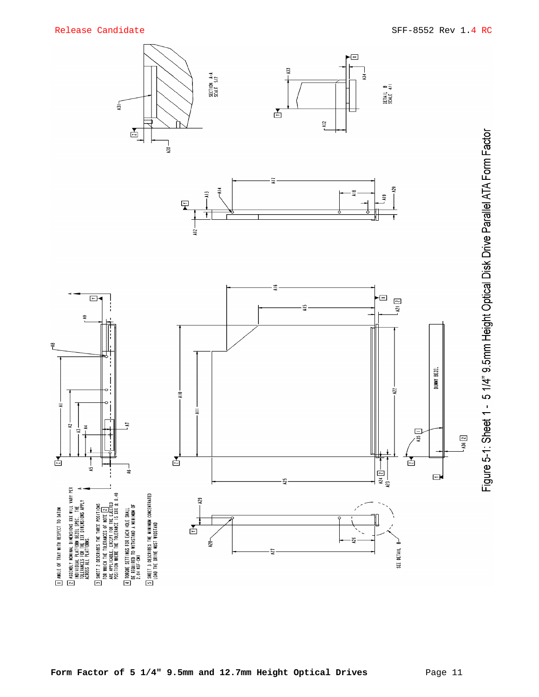$\tilde{\tau}$ 

 $\overline{1}$ 

舌

ANGLE OF TRAY WITH RESPECT TO DATUM

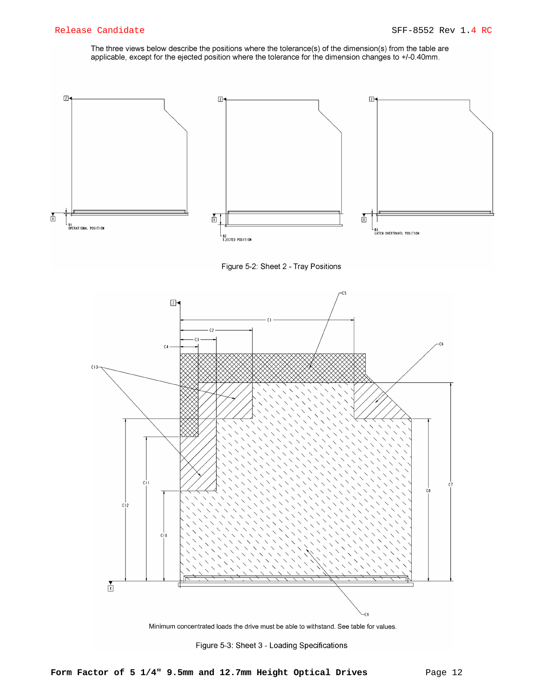The three views below describe the positions where the tolerance(s) of the dimension(s) from the table are applicable, except for the ejected position where the tolerance for the dimension changes to +/-0.40mm.



Figure 5-2: Sheet 2 - Tray Positions



Minimum concentrated loads the drive must be able to withstand. See table for values.

Figure 5-3: Sheet 3 - Loading Specifications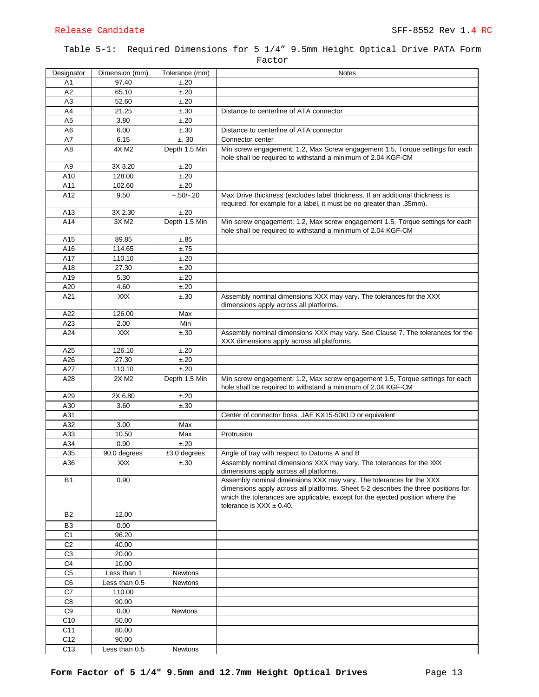## Table 5-1: Required Dimensions for 5 1/4" 9.5mm Height Optical Drive PATA Form Factor

| Designator      | Dimension (mm)  | Tolerance (mm) | <b>Notes</b>                                                                                                   |
|-----------------|-----------------|----------------|----------------------------------------------------------------------------------------------------------------|
| A1              | 97.40           | ±.20           |                                                                                                                |
| A2              | 65.10           | ±.20           |                                                                                                                |
| A3              | 52.60           | ±.20           |                                                                                                                |
| A4              | 21.25           | ±.30           | Distance to centerline of ATA connector                                                                        |
| A <sub>5</sub>  | 3.80            | ±.20           |                                                                                                                |
| A <sub>6</sub>  | 6.00            | ±.30           | Distance to centerline of ATA connector                                                                        |
| A7              | 6.15            | ±.30           | Connector center                                                                                               |
| A8              | 4X M2           | Depth 1.5 Min  | Min screw engagement: 1.2, Max Screw engagement 1.5, Torque settings for each                                  |
|                 |                 |                | hole shall be required to withstand a minimum of 2.04 KGF-CM                                                   |
| A <sub>9</sub>  | 3X 3.20         | ±.20           |                                                                                                                |
| A10             | 128.00          | ±.20           |                                                                                                                |
| A11             | 102.60          | ±.20           |                                                                                                                |
| A12             | 9.50            | $+.50/-.20$    | Max Drive thickness (excludes label thickness. If an additional thickness is                                   |
|                 |                 |                | required, for example for a label, it must be no greater than .35mm).                                          |
| A <sub>13</sub> | 3X 2.30         | ±.20           |                                                                                                                |
| A14             | 3X M2           | Depth 1.5 Min  | Min screw engagement: 1.2, Max screw engagement 1.5, Torque settings for each                                  |
|                 |                 |                | hole shall be required to withstand a minimum of 2.04 KGF-CM                                                   |
| A15             | 89.85           | ±.85           |                                                                                                                |
| A16             | 114.65          | ±.75           |                                                                                                                |
| A17             | 110.10          | ±.20           |                                                                                                                |
| A18             | 27.30           | ±.20           |                                                                                                                |
| A19             | 5.30            | ±.20           |                                                                                                                |
| A20             | 4.60            | ±.20           |                                                                                                                |
| A21             | XXX             | ±.30           | Assembly nominal dimensions XXX may vary. The tolerances for the XXX<br>dimensions apply across all platforms. |
| A22             | 126.00          | Max            |                                                                                                                |
| A23             | 2.00            | Min            |                                                                                                                |
| A24             | XXX             | ±.30           | Assembly nominal dimensions XXX may vary. See Clause 7. The tolerances for the                                 |
|                 |                 |                | XXX dimensions apply across all platforms.                                                                     |
| A25             | 126.10          | ±.20           |                                                                                                                |
| A26             | 27.30           | ±.20           |                                                                                                                |
| A27             | 110.10          | ±.20           |                                                                                                                |
| A28             | 2X M2           | Depth 1.5 Min  | Min screw engagement: 1.2, Max screw engagement 1.5, Torque settings for each                                  |
|                 |                 |                | hole shall be required to withstand a minimum of 2.04 KGF-CM                                                   |
| A29             | 2X 6.80         | ±.20           |                                                                                                                |
| A30             | 3.60            | ±.30           |                                                                                                                |
| A31             |                 |                | Center of connector boss, JAE KX15-50KLD or equivalent                                                         |
| A32             | 3.00            | Max            |                                                                                                                |
| A33             | 10.50           | Max            | Protrusion                                                                                                     |
| A34             | 0.90            | ±.20           |                                                                                                                |
| A35             | 90.0 degrees    | $±3.0$ degrees | Angle of tray with respect to Datums A and B                                                                   |
| A36             | XXX             | ±.30           | Assembly nominal dimensions XXX may vary. The tolerances for the XXX                                           |
|                 |                 |                | dimensions apply across all platforms.                                                                         |
| <b>B1</b>       | 0.90            |                | Assembly nominal dimensions XXX may vary. The tolerances for the XXX                                           |
|                 |                 |                | dimensions apply across all platforms. Sheet 5-2 describes the three positions for                             |
|                 |                 |                | which the tolerances are applicable, except for the ejected position where the                                 |
| <b>B2</b>       | 12.00           |                | tolerance is $XXX \pm 0.40$ .                                                                                  |
|                 |                 |                |                                                                                                                |
| B3              | 0.00            |                |                                                                                                                |
| C1              | 96.20           |                |                                                                                                                |
| C <sub>2</sub>  | 40.00           |                |                                                                                                                |
| C <sub>3</sub>  | 20.00           |                |                                                                                                                |
| C <sub>4</sub>  | 10.00           |                |                                                                                                                |
| C <sub>5</sub>  | Less than 1     | Newtons        |                                                                                                                |
| C6              | Less than 0.5   | Newtons        |                                                                                                                |
| C7<br>C8        | 110.00<br>90.00 |                |                                                                                                                |
| C <sub>9</sub>  |                 |                |                                                                                                                |
|                 | 0.00            | Newtons        |                                                                                                                |
| C10             | 50.00           |                |                                                                                                                |
| C11             | 80.00           |                |                                                                                                                |
| C12             | 90.00           |                |                                                                                                                |
| C13             | Less than 0.5   | Newtons        |                                                                                                                |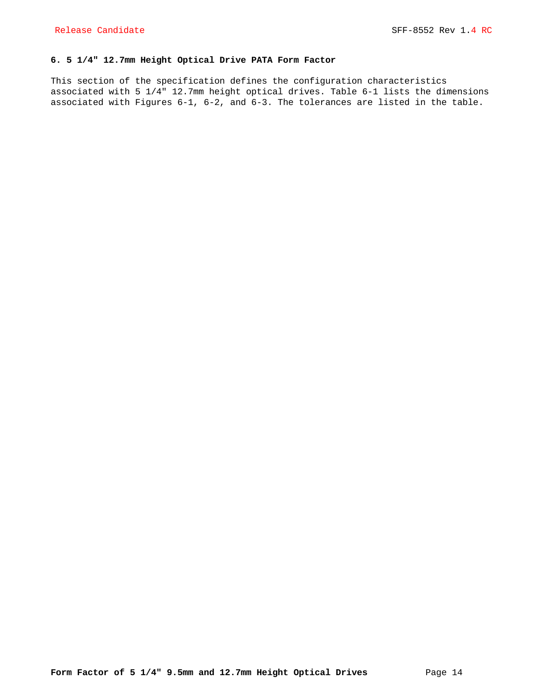## **6. 5 1/4" 12.7mm Height Optical Drive PATA Form Factor**

This section of the specification defines the configuration characteristics associated with 5 1/4" 12.7mm height optical drives. Table 6-1 lists the dimensions associated with Figures 6-1, 6-2, and 6-3. The tolerances are listed in the table.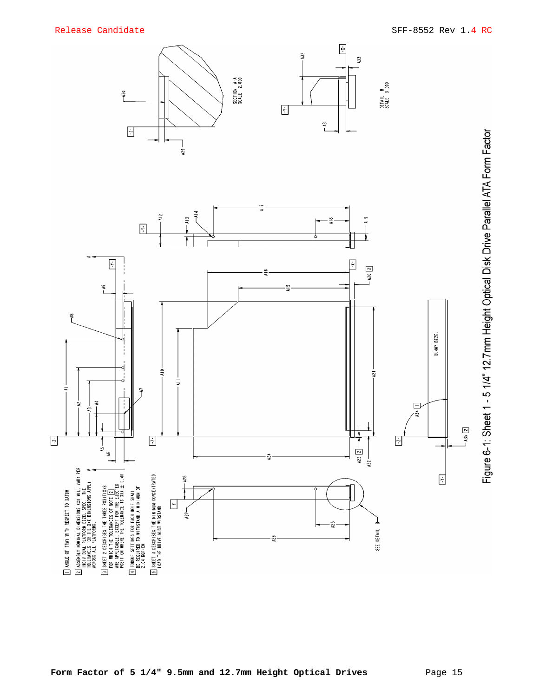



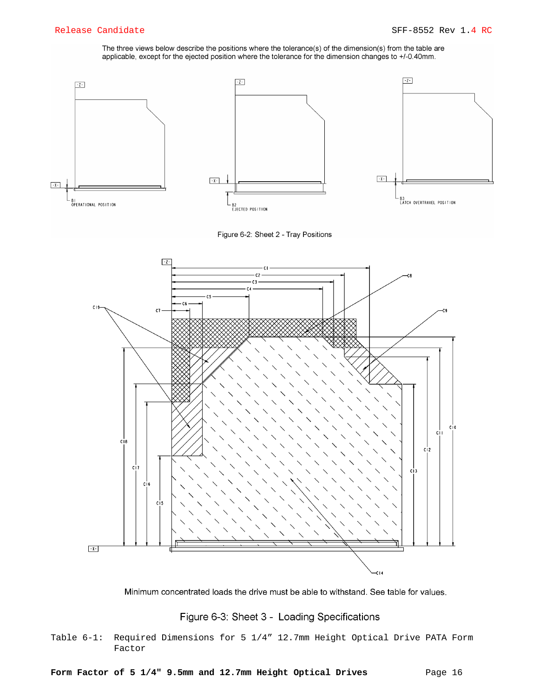The three views below describe the positions where the tolerance(s) of the dimension(s) from the table are applicable, except for the ejected position where the tolerance for the dimension changes to +/-0.40mm.



Figure 6-2: Sheet 2 - Tray Positions



Minimum concentrated loads the drive must be able to withstand. See table for values.

# Figure 6-3: Sheet 3 - Loading Specifications

Table 6-1: Required Dimensions for 5 1/4" 12.7mm Height Optical Drive PATA Form Factor

Form Factor of 5 1/4" 9.5mm and 12.7mm Height Optical Drives Page 16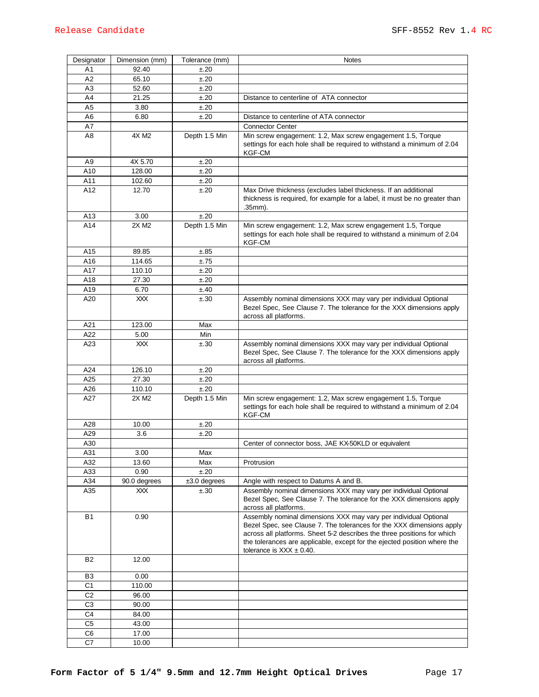| Designator     | Dimension (mm) | Tolerance (mm) | <b>Notes</b>                                                                                                                                                                                                                                                                                                                      |
|----------------|----------------|----------------|-----------------------------------------------------------------------------------------------------------------------------------------------------------------------------------------------------------------------------------------------------------------------------------------------------------------------------------|
| Α1             | 92.40          | ±.20           |                                                                                                                                                                                                                                                                                                                                   |
| A2             | 65.10          | ±.20           |                                                                                                                                                                                                                                                                                                                                   |
| A3             | 52.60          | ±.20           |                                                                                                                                                                                                                                                                                                                                   |
| A4             | 21.25          | ±.20           | Distance to centerline of ATA connector                                                                                                                                                                                                                                                                                           |
| A5             | 3.80           | ±.20           |                                                                                                                                                                                                                                                                                                                                   |
| A6             | 6.80           | ±.20           | Distance to centerline of ATA connector                                                                                                                                                                                                                                                                                           |
| Α7             |                |                | <b>Connector Center</b>                                                                                                                                                                                                                                                                                                           |
| A8             | 4X M2          | Depth 1.5 Min  | Min screw engagement: 1.2, Max screw engagement 1.5, Torque<br>settings for each hole shall be required to withstand a minimum of 2.04<br><b>KGF-CM</b>                                                                                                                                                                           |
| A9             | 4X 5.70        | ±.20           |                                                                                                                                                                                                                                                                                                                                   |
| A10            | 128.00         | ±.20           |                                                                                                                                                                                                                                                                                                                                   |
| A11            | 102.60         | ±.20           |                                                                                                                                                                                                                                                                                                                                   |
| A12            | 12.70          | ±.20           | Max Drive thickness (excludes label thickness. If an additional<br>thickness is required, for example for a label, it must be no greater than<br>.35mm).                                                                                                                                                                          |
| A13            | 3.00           | ±.20           |                                                                                                                                                                                                                                                                                                                                   |
| A14            | 2X M2          | Depth 1.5 Min  | Min screw engagement: 1.2, Max screw engagement 1.5, Torque<br>settings for each hole shall be required to withstand a minimum of 2.04<br><b>KGF-CM</b>                                                                                                                                                                           |
| A15            | 89.85          | ±.85           |                                                                                                                                                                                                                                                                                                                                   |
| A16            | 114.65         | ±.75           |                                                                                                                                                                                                                                                                                                                                   |
| A17            | 110.10         | ±.20           |                                                                                                                                                                                                                                                                                                                                   |
| A18            | 27.30          | ±.20           |                                                                                                                                                                                                                                                                                                                                   |
| A19            | 6.70           | ±.40           |                                                                                                                                                                                                                                                                                                                                   |
| A20            | XXX.           | ±.30           | Assembly nominal dimensions XXX may vary per individual Optional<br>Bezel Spec, See Clause 7. The tolerance for the XXX dimensions apply<br>across all platforms.                                                                                                                                                                 |
| A21            | 123.00         | Max            |                                                                                                                                                                                                                                                                                                                                   |
| A22            | 5.00           | Min            |                                                                                                                                                                                                                                                                                                                                   |
| A23            | XXX.           | ±.30           | Assembly nominal dimensions XXX may vary per individual Optional<br>Bezel Spec, See Clause 7. The tolerance for the XXX dimensions apply<br>across all platforms.                                                                                                                                                                 |
| A24            | 126.10         | ±.20           |                                                                                                                                                                                                                                                                                                                                   |
| A25            | 27.30          | ±.20           |                                                                                                                                                                                                                                                                                                                                   |
| A26            | 110.10         | ±.20           |                                                                                                                                                                                                                                                                                                                                   |
| A27            | 2X M2          | Depth 1.5 Min  | Min screw engagement: 1.2, Max screw engagement 1.5, Torque<br>settings for each hole shall be required to withstand a minimum of 2.04<br>KGF-CM                                                                                                                                                                                  |
| A28            | 10.00          | ±.20           |                                                                                                                                                                                                                                                                                                                                   |
| A29            | 3.6            | ±.20           |                                                                                                                                                                                                                                                                                                                                   |
| A30            |                |                | Center of connector boss, JAE KX-50KLD or equivalent                                                                                                                                                                                                                                                                              |
| A31            | 3.00           | Max            |                                                                                                                                                                                                                                                                                                                                   |
| A32            | 13.60          | Max            | Protrusion                                                                                                                                                                                                                                                                                                                        |
| A33            | 0.90           | ±.20           |                                                                                                                                                                                                                                                                                                                                   |
| A34            | 90.0 degrees   | $±3.0$ degrees | Angle with respect to Datums A and B.                                                                                                                                                                                                                                                                                             |
| A35            | XXX            | ±.30           | Assembly nominal dimensions XXX may vary per individual Optional<br>Bezel Spec, See Clause 7. The tolerance for the XXX dimensions apply<br>across all platforms.                                                                                                                                                                 |
| <b>B1</b>      | 0.90           |                | Assembly nominal dimensions XXX may vary per individual Optional<br>Bezel Spec, see Clause 7. The tolerances for the XXX dimensions apply<br>across all platforms. Sheet 5-2 describes the three positions for which<br>the tolerances are applicable, except for the ejected position where the<br>tolerance is $XXX \pm 0.40$ . |
| <b>B2</b>      | 12.00          |                |                                                                                                                                                                                                                                                                                                                                   |
| B3             | 0.00           |                |                                                                                                                                                                                                                                                                                                                                   |
| C <sub>1</sub> | 110.00         |                |                                                                                                                                                                                                                                                                                                                                   |
| C <sub>2</sub> | 96.00          |                |                                                                                                                                                                                                                                                                                                                                   |
| C <sub>3</sub> | 90.00          |                |                                                                                                                                                                                                                                                                                                                                   |
| C <sub>4</sub> | 84.00          |                |                                                                                                                                                                                                                                                                                                                                   |
| C <sub>5</sub> | 43.00          |                |                                                                                                                                                                                                                                                                                                                                   |
| C <sub>6</sub> | 17.00          |                |                                                                                                                                                                                                                                                                                                                                   |
| C7             | 10.00          |                |                                                                                                                                                                                                                                                                                                                                   |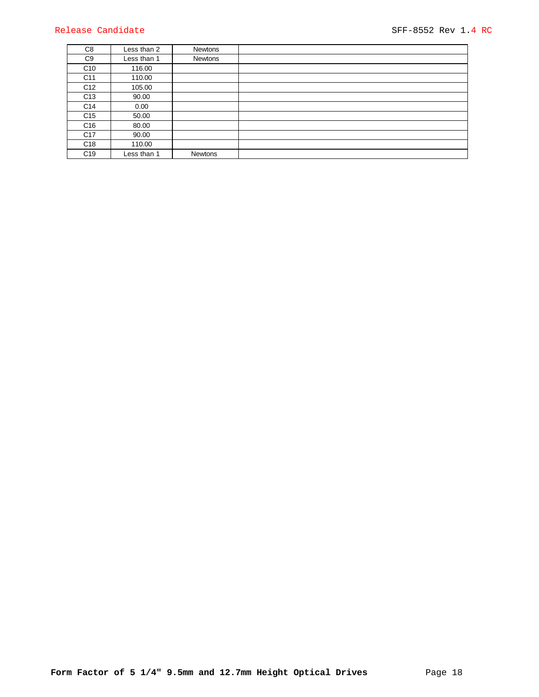| C8              | Less than 2 | Newtons        |  |
|-----------------|-------------|----------------|--|
| C9              | Less than 1 | Newtons        |  |
| C <sub>10</sub> | 116.00      |                |  |
| C <sub>11</sub> | 110.00      |                |  |
| C <sub>12</sub> | 105.00      |                |  |
| C <sub>13</sub> | 90.00       |                |  |
| C <sub>14</sub> | 0.00        |                |  |
| C <sub>15</sub> | 50.00       |                |  |
| C <sub>16</sub> | 80.00       |                |  |
| C <sub>17</sub> | 90.00       |                |  |
| C <sub>18</sub> | 110.00      |                |  |
| C <sub>19</sub> | Less than 1 | <b>Newtons</b> |  |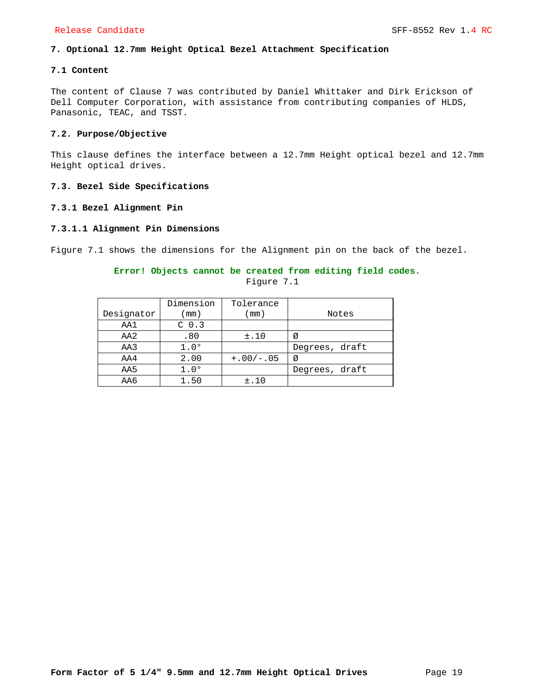## **7. Optional 12.7mm Height Optical Bezel Attachment Specification**

## **7.1 Content**

The content of Clause 7 was contributed by Daniel Whittaker and Dirk Erickson of Dell Computer Corporation, with assistance from contributing companies of HLDS, Panasonic, TEAC, and TSST.

## **7.2. Purpose/Objective**

This clause defines the interface between a 12.7mm Height optical bezel and 12.7mm Height optical drives.

## **7.3. Bezel Side Specifications**

## **7.3.1 Bezel Alignment Pin**

## **7.3.1.1 Alignment Pin Dimensions**

Figure 7.1 shows the dimensions for the Alignment pin on the back of the bezel.

## **Error! Objects cannot be created from editing field codes.**

|            | Dimension        | Tolerance   |                |
|------------|------------------|-------------|----------------|
| Designator | $\pmod{2}$       | mm)         | Notes          |
| AA1        | C <sub>0.3</sub> |             |                |
| AA2        | .80              | ±.10        | Ø              |
| AA3        | $1.0^\circ$      |             | Degrees, draft |
| AA4        | 2.00             | $+.00/-.05$ | Ø              |
| AA5        | $1.0^\circ$      |             | Degrees, draft |
| AA6        | 1.50             | ±.10        |                |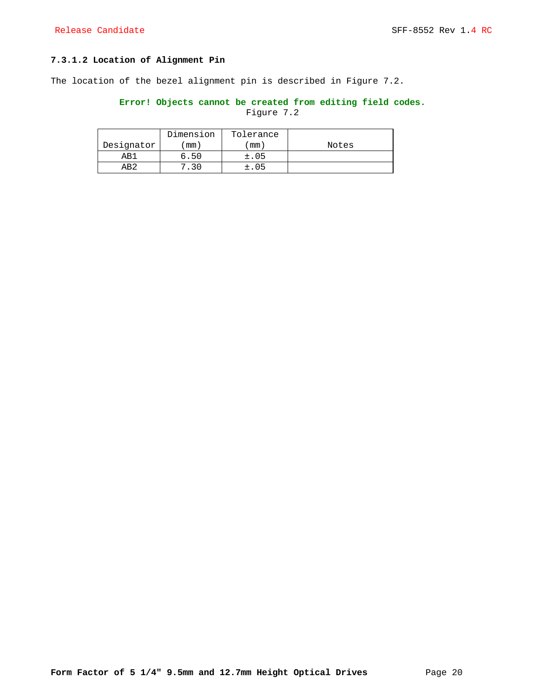## **7.3.1.2 Location of Alignment Pin**

The location of the bezel alignment pin is described in Figure 7.2.

## **Error! Objects cannot be created from editing field codes.** Figure 7.2

|            | Dimension    | Tolerance |       |
|------------|--------------|-----------|-------|
| Designator | mm)          | mm        | Notes |
| AR1        | 50<br>່າ. ບ. | ±.05      |       |
| AR2        |              | ±.O5      |       |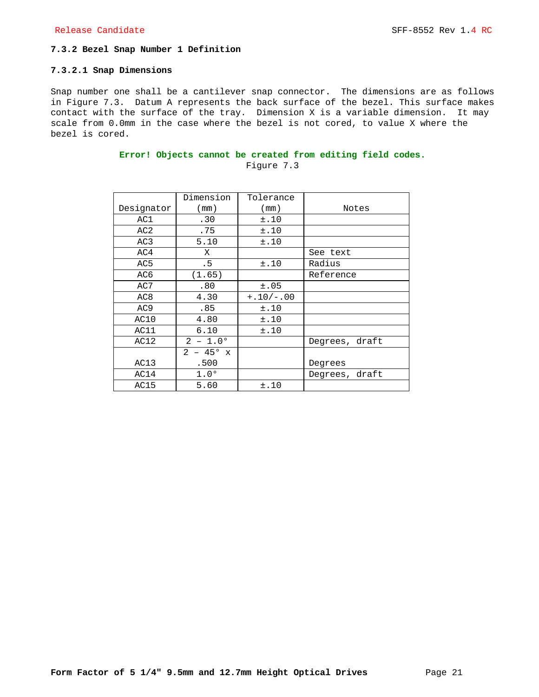## **7.3.2 Bezel Snap Number 1 Definition**

## **7.3.2.1 Snap Dimensions**

Snap number one shall be a cantilever snap connector. The dimensions are as follows in Figure 7.3. Datum A represents the back surface of the bezel. This surface makes contact with the surface of the tray. Dimension X is a variable dimension. It may scale from 0.0mm in the case where the bezel is not cored, to value X where the bezel is cored.

|                 | Dimension            | Tolerance   |                |
|-----------------|----------------------|-------------|----------------|
| Designator      | (mm)                 | (mm)        | Notes          |
| AC1             | .30                  | ±.10        |                |
| AC2             | .75                  | ±.10        |                |
| AC3             | 5.10                 | ±.10        |                |
| AC4             | Χ                    |             | See text       |
| AC <sub>5</sub> | .5                   | ±.10        | Radius         |
| AC6             | (1.65)               |             | Reference      |
| AC7             | .80                  | ±.05        |                |
| AC <sub>8</sub> | 4.30                 | $+.10/-.00$ |                |
| AC <sub>9</sub> | .85                  | ±.10        |                |
| AC10            | 4.80                 | ±.10        |                |
| AC11            | 6.10                 | ±.10        |                |
| AC12            | $2 - 1.0^{\circ}$    |             | Degrees, draft |
|                 | 2<br>$-45^{\circ}$ x |             |                |
| AC13            | .500                 |             | Degrees        |
| AC14            | $1.0^\circ$          |             | Degrees, draft |
| AC15            | 5.60                 | ±.10        |                |

## **Error! Objects cannot be created from editing field codes.** Figure 7.3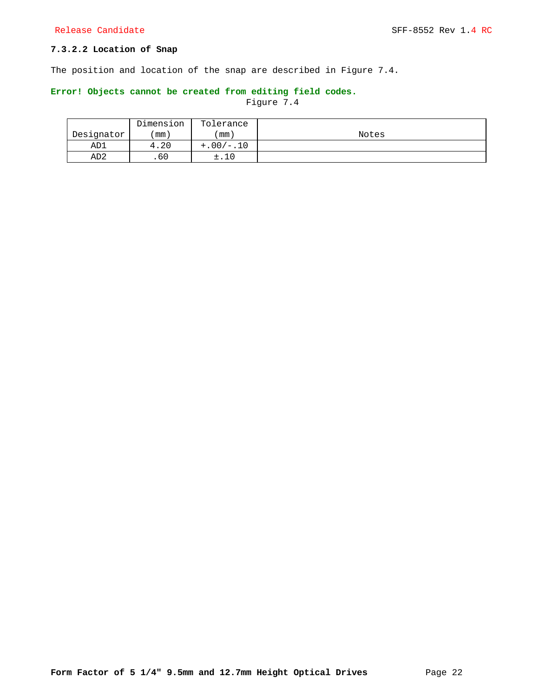## **7.3.2.2 Location of Snap**

The position and location of the snap are described in Figure 7.4.

## **Error! Objects cannot be created from editing field codes.**

|                 | Dimension | Tolerance   |       |
|-----------------|-----------|-------------|-------|
| Designator      | 'mm ,     | ' mm )      | Notes |
| AD1             | 4.20      | $+.00/-.10$ |       |
| AD <sub>2</sub> | .60       | ±.10        |       |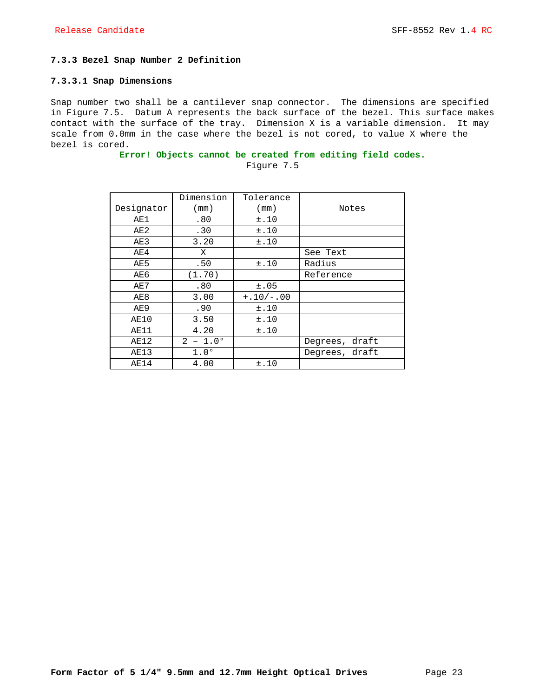## **7.3.3 Bezel Snap Number 2 Definition**

#### **7.3.3.1 Snap Dimensions**

Snap number two shall be a cantilever snap connector. The dimensions are specified in Figure 7.5. Datum A represents the back surface of the bezel. This surface makes contact with the surface of the tray. Dimension X is a variable dimension. It may scale from 0.0mm in the case where the bezel is not cored, to value X where the bezel is cored.

## **Error! Objects cannot be created from editing field codes.**

|            | Dimension         | Tolerance   |                |
|------------|-------------------|-------------|----------------|
| Designator | (mm)              | (mm)        | Notes          |
| AE1        | .80               | ±.10        |                |
| AE2        | .30               | ±.10        |                |
| AE3        | 3.20              | ±.10        |                |
| AE4        | X                 |             | See Text       |
| AE5        | .50               | ±.10        | Radius         |
| AE6        | (1.70)            |             | Reference      |
| AE7        | .80               | ±.05        |                |
| AE8        | 3.00              | $+.10/-.00$ |                |
| AE9        | .90               | ±.10        |                |
| AE10       | 3.50              | ±.10        |                |
| AE11       | 4.20              | ±.10        |                |
| AE12       | $2 - 1.0^{\circ}$ |             | Degrees, draft |
| AE13       | $1.0^\circ$       |             | Degrees, draft |
| AE14       | 4.00              | ±.10        |                |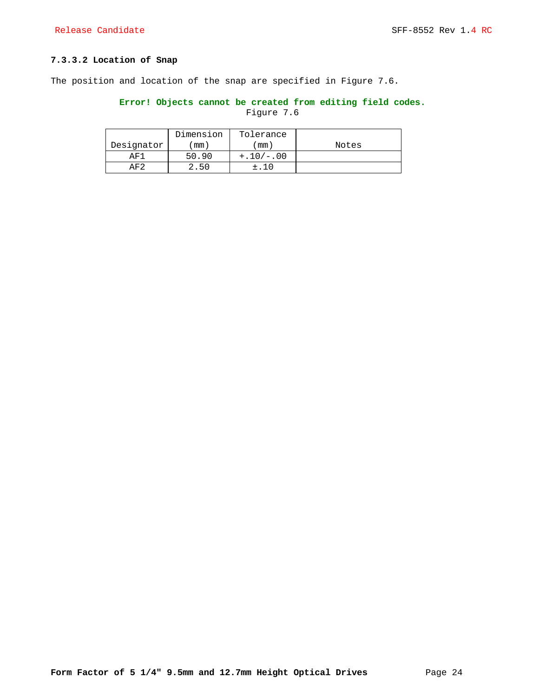## **7.3.3.2 Location of Snap**

The position and location of the snap are specified in Figure 7.6.

## **Error! Objects cannot be created from editing field codes.** Figure 7.6

|                | Dimension | Tolerance   |       |
|----------------|-----------|-------------|-------|
| Designator     | mm)       | mm)         | Notes |
| AF1            | 50.90     | $+.10/-.00$ |       |
| $\Delta$ F $2$ | -50       |             |       |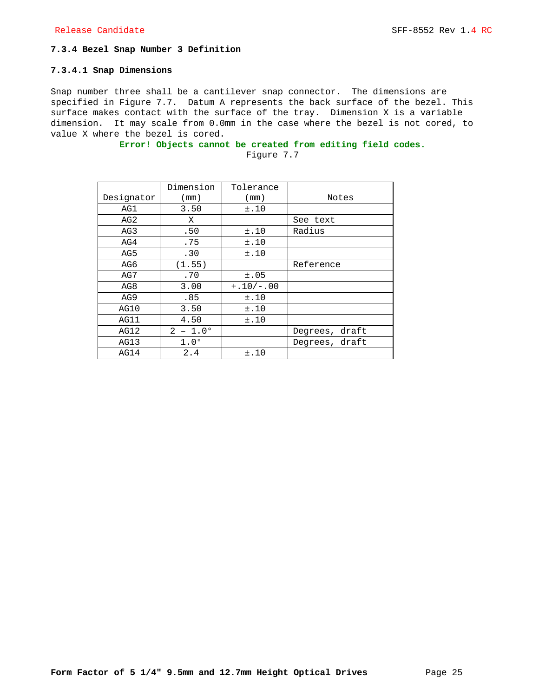## **7.3.4 Bezel Snap Number 3 Definition**

#### **7.3.4.1 Snap Dimensions**

Snap number three shall be a cantilever snap connector. The dimensions are specified in Figure 7.7. Datum A represents the back surface of the bezel. This surface makes contact with the surface of the tray. Dimension X is a variable dimension. It may scale from 0.0mm in the case where the bezel is not cored, to value X where the bezel is cored.

# **Error! Objects cannot be created from editing field codes.**

|                 | Dimension         | Tolerance   |                |
|-----------------|-------------------|-------------|----------------|
| Designator      | (mm)              | (mm)        | Notes          |
| AG1             | 3.50              | ±.10        |                |
| AG <sub>2</sub> | X                 |             | See text       |
| AG3             | .50               | ±.10        | Radius         |
| AG4             | .75               | ±.10        |                |
| AG5             | .30               | ±.10        |                |
| AG6             | (1.55)            |             | Reference      |
| AG7             | .70               | ±.05        |                |
| AG8             | 3.00              | $+.10/-.00$ |                |
| AG9             | .85               | ±.10        |                |
| AG10            | 3.50              | ±.10        |                |
| AG11            | 4.50              | ±.10        |                |
| AG12            | $2 - 1.0^{\circ}$ |             | Degrees, draft |
| AG13            | $1.0^\circ$       |             | Degrees, draft |
| AG14            | 2.4               | ±.10        |                |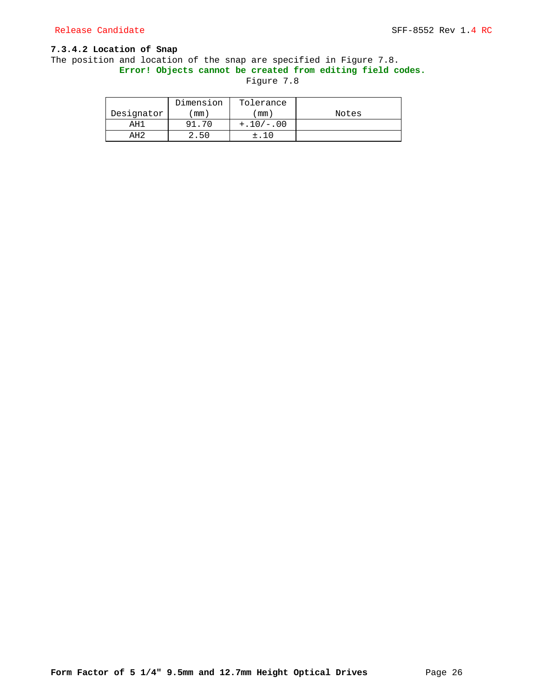## **7.3.4.2 Location of Snap**

## The position and location of the snap are specified in Figure 7.8. **Error! Objects cannot be created from editing field codes.**

|            | Dimension | Tolerance   |       |
|------------|-----------|-------------|-------|
| Designator | mm)       | mm)         | Notes |
| AH1        | 91.       | $+.10/-.00$ |       |
| 2H2        | 50        |             |       |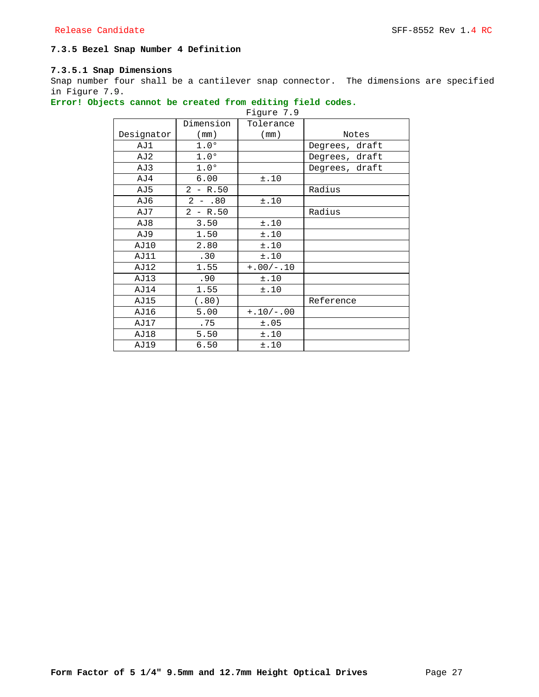## **7.3.5 Bezel Snap Number 4 Definition**

## **7.3.5.1 Snap Dimensions**

Snap number four shall be a cantilever snap connector. The dimensions are specified in Figure 7.9.

## **Error! Objects cannot be created from editing field codes.**

|            |             | Figure 7.9  |                |
|------------|-------------|-------------|----------------|
|            | Dimension   | Tolerance   |                |
| Designator | (mm)        | (mm)        | Notes          |
| AJ1        | $1.0^\circ$ |             | Degrees, draft |
| AJ2        | $1.0^\circ$ |             | Degrees, draft |
| AJ3        | $1.0^\circ$ |             | Degrees, draft |
| AJ4        | 6.00        | ±.10        |                |
| AJ5        | $2 - R.50$  |             | Radius         |
| AJ6        | $2 - .80$   | ±.10        |                |
| AJ7        | $2 - R.50$  |             | Radius         |
| AJ8        | 3.50        | ±.10        |                |
| AJ9        | 1.50        | ±.10        |                |
| AJ10       | 2.80        | ±.10        |                |
| AJ11       | .30         | ±.10        |                |
| AJ12       | 1.55        | $+.00/-.10$ |                |
| AJ13       | .90         | ±.10        |                |
| AJ14       | 1.55        | ±.10        |                |
| AJ15       | (.80)       |             | Reference      |
| AJ16       | 5.00        | $+.10/-.00$ |                |
| AJ17       | .75         | ±.05        |                |
| AJ18       | 5.50        | ±.10        |                |
| AJ19       | 6.50        | ±.10        |                |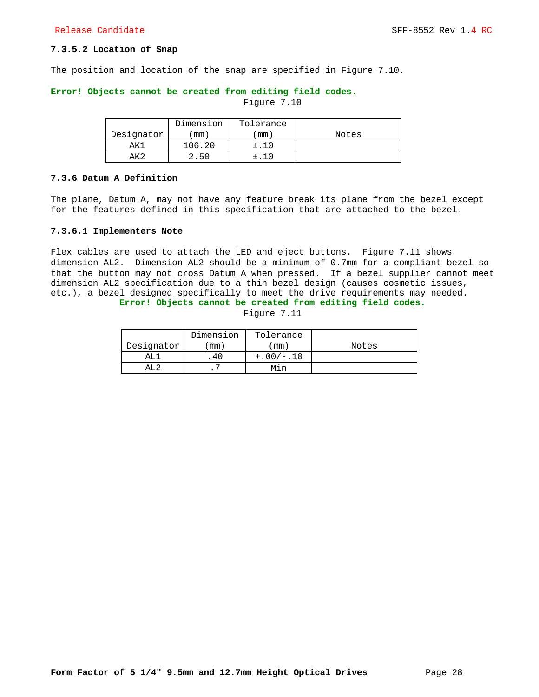## **7.3.5.2 Location of Snap**

The position and location of the snap are specified in Figure 7.10.

#### **Error! Objects cannot be created from editing field codes.**

Figure 7.10

|            | Dimension | Tolerance |       |
|------------|-----------|-----------|-------|
| Designator | mm)       | mm)       | Notes |
| ΆK.        | 106.20    |           |       |
| ΔKΩ        | 2.50      |           |       |

#### **7.3.6 Datum A Definition**

The plane, Datum A, may not have any feature break its plane from the bezel except for the features defined in this specification that are attached to the bezel.

#### **7.3.6.1 Implementers Note**

Flex cables are used to attach the LED and eject buttons. Figure 7.11 shows dimension AL2. Dimension AL2 should be a minimum of 0.7mm for a compliant bezel so that the button may not cross Datum A when pressed. If a bezel supplier cannot meet dimension AL2 specification due to a thin bezel design (causes cosmetic issues, etc.), a bezel designed specifically to meet the drive requirements may needed.

**Error! Objects cannot be created from editing field codes.**

|            | Dimension | Tolerance   |       |
|------------|-----------|-------------|-------|
| Designator | mm)       | mm)         | Notes |
| AT.        |           | $+.00/-.10$ |       |
|            |           | Min         |       |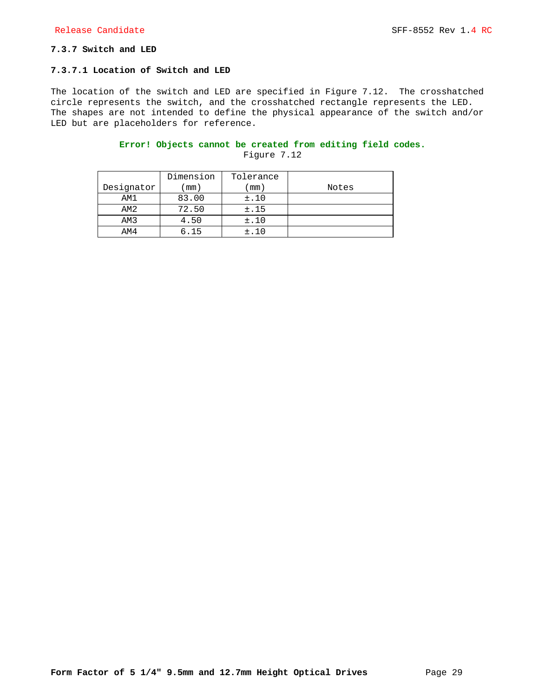## **7.3.7 Switch and LED**

## **7.3.7.1 Location of Switch and LED**

The location of the switch and LED are specified in Figure 7.12. The crosshatched circle represents the switch, and the crosshatched rectangle represents the LED. The shapes are not intended to define the physical appearance of the switch and/or LED but are placeholders for reference.

# **Error! Objects cannot be created from editing field codes.**

|            | Dimension | Tolerance |       |
|------------|-----------|-----------|-------|
| Designator | mm)       | mm)       | Notes |
| AM1        | 83.00     | ±.10      |       |
| AM2        | 72.50     | ±.15      |       |
| AM3        | 4.50      | ±.10      |       |
| AM4        | 6.15      | $\pm$ .10 |       |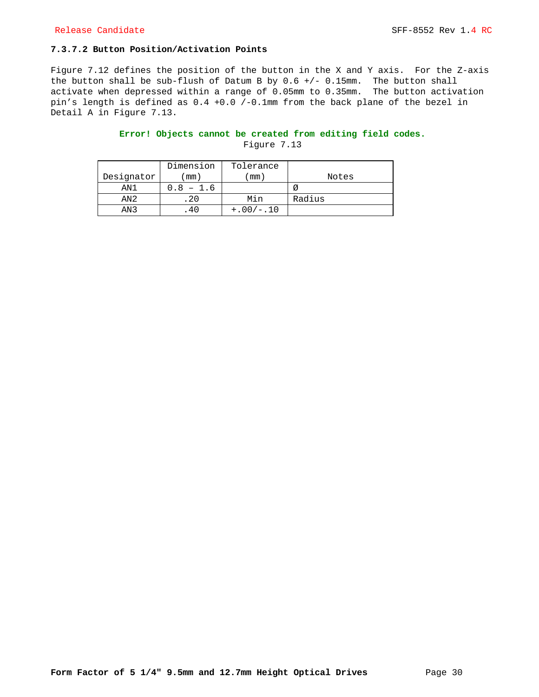## **7.3.7.2 Button Position/Activation Points**

Figure 7.12 defines the position of the button in the X and Y axis. For the Z-axis the button shall be sub-flush of Datum B by 0.6 +/- 0.15mm. The button shall activate when depressed within a range of 0.05mm to 0.35mm. The button activation pin's length is defined as 0.4 +0.0 /-0.1mm from the back plane of the bezel in Detail A in Figure 7.13.

## **Error! Objects cannot be created from editing field codes.**

|                 | Dimension  | Tolerance   |        |
|-----------------|------------|-------------|--------|
| Designator      | mm)        | mm)         | Notes  |
| AN1             | 1.6<br>0.8 |             |        |
| AN2             | 20         | Min         | Radius |
| AN <sub>3</sub> | 4 L        | $+.00/-.10$ |        |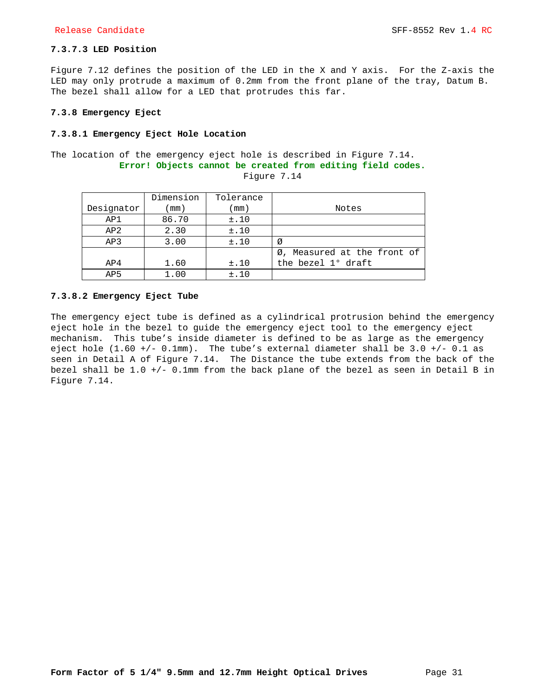## **7.3.7.3 LED Position**

Figure 7.12 defines the position of the LED in the X and Y axis. For the Z-axis the LED may only protrude a maximum of 0.2mm from the front plane of the tray, Datum B. The bezel shall allow for a LED that protrudes this far.

#### **7.3.8 Emergency Eject**

#### **7.3.8.1 Emergency Eject Hole Location**

The location of the emergency eject hole is described in Figure 7.14. **Error! Objects cannot be created from editing field codes.** Figure 7.14

|                 | Dimension | Tolerance |                             |
|-----------------|-----------|-----------|-----------------------------|
| Designator      | mm)       | mm)       | Notes                       |
| AP1             | 86.70     | ±.10      |                             |
| AP2             | 2.30      | ±.10      |                             |
| AP3             | 3.00      | ±.10      | Ø                           |
|                 |           |           | Ø, Measured at the front of |
| AP4             | 1.60      | ±.10      | the bezel $1^{\circ}$ draft |
| AP <sub>5</sub> | 1.00      | ±.10      |                             |

### **7.3.8.2 Emergency Eject Tube**

The emergency eject tube is defined as a cylindrical protrusion behind the emergency eject hole in the bezel to guide the emergency eject tool to the emergency eject mechanism. This tube's inside diameter is defined to be as large as the emergency eject hole  $(1.60 +/- 0.1mm)$ . The tube's external diameter shall be  $3.0 +/- 0.1$  as seen in Detail A of Figure 7.14. The Distance the tube extends from the back of the bezel shall be 1.0 +/- 0.1mm from the back plane of the bezel as seen in Detail B in Figure 7.14.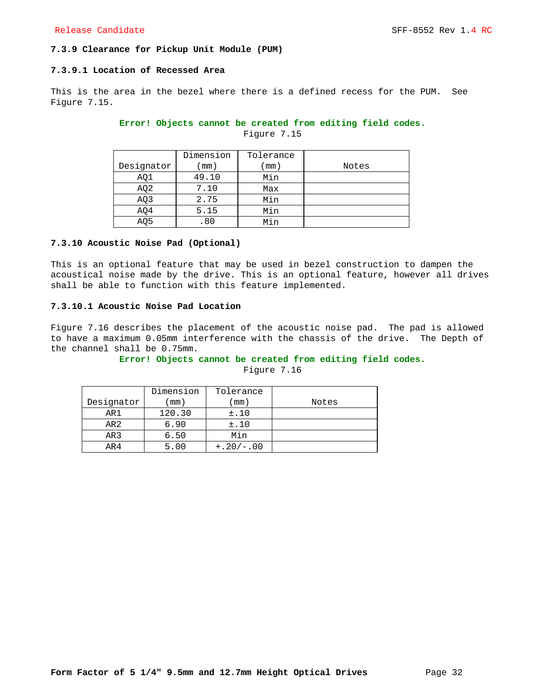## **7.3.9 Clearance for Pickup Unit Module (PUM)**

#### **7.3.9.1 Location of Recessed Area**

This is the area in the bezel where there is a defined recess for the PUM. See Figure 7.15.

## **Error! Objects cannot be created from editing field codes.**

Figure 7.15

|                 | Dimension | Tolerance |       |
|-----------------|-----------|-----------|-------|
| Designator      | mm)       | mm)       | Notes |
| AQ1             | 49.10     | Min       |       |
| AQ <sub>2</sub> | 7.10      | Max       |       |
| AQ3             | 2.75      | Min       |       |
| AQ4             | 5.15      | Min       |       |
| AQ5             | .80       | Min       |       |

## **7.3.10 Acoustic Noise Pad (Optional)**

This is an optional feature that may be used in bezel construction to dampen the acoustical noise made by the drive. This is an optional feature, however all drives shall be able to function with this feature implemented.

## **7.3.10.1 Acoustic Noise Pad Location**

Figure 7.16 describes the placement of the acoustic noise pad. The pad is allowed to have a maximum 0.05mm interference with the chassis of the drive. The Depth of the channel shall be 0.75mm.

## **Error! Objects cannot be created from editing field codes.**

|            | Dimension | Tolerance   |       |
|------------|-----------|-------------|-------|
| Designator | mm)       | mm)         | Notes |
| AR1        | 120.30    | ±.10        |       |
| AR2        | 6.90      | ±.10        |       |
| AR3        | 6.50      | Min         |       |
| AR4        | 5.00      | $+.20/-.00$ |       |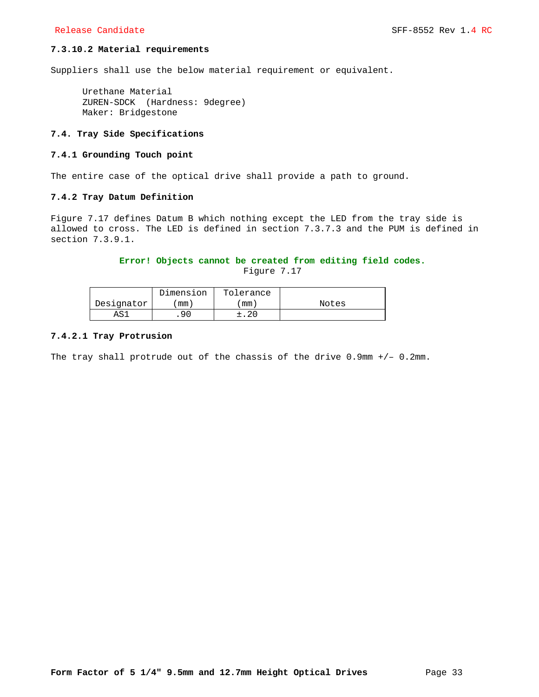## **7.3.10.2 Material requirements**

Suppliers shall use the below material requirement or equivalent.

Urethane Material ZUREN-SDCK (Hardness: 9degree) Maker: Bridgestone

## **7.4. Tray Side Specifications**

## **7.4.1 Grounding Touch point**

The entire case of the optical drive shall provide a path to ground.

#### **7.4.2 Tray Datum Definition**

Figure 7.17 defines Datum B which nothing except the LED from the tray side is allowed to cross. The LED is defined in section 7.3.7.3 and the PUM is defined in section 7.3.9.1.

## **Error! Objects cannot be created from editing field codes.**

Figure 7.17

|            | Dimension | Tolerance |       |
|------------|-----------|-----------|-------|
| Designator | mm)       | mm.       | Notes |
| AS.        | .90       | ±.20      |       |

#### **7.4.2.1 Tray Protrusion**

The tray shall protrude out of the chassis of the drive 0.9mm +/– 0.2mm.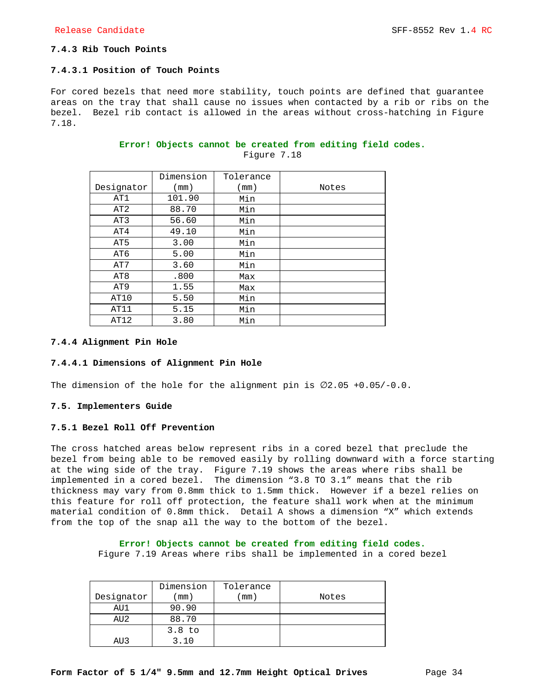## **7.4.3 Rib Touch Points**

## **7.4.3.1 Position of Touch Points**

For cored bezels that need more stability, touch points are defined that guarantee areas on the tray that shall cause no issues when contacted by a rib or ribs on the bezel. Bezel rib contact is allowed in the areas without cross-hatching in Figure 7.18.

|                 | Dimension | Tolerance |       |
|-----------------|-----------|-----------|-------|
| Designator      | (mm)      | (mm)      | Notes |
| AT1             | 101.90    | Min       |       |
| AT <sub>2</sub> | 88.70     | Min       |       |
| AT3             | 56.60     | Min       |       |
| AT4             | 49.10     | Min       |       |
| AT5             | 3.00      | Min       |       |
| AT6             | 5.00      | Min       |       |
| AT7             | 3.60      | Min       |       |
| AT <sub>8</sub> | .800      | Max       |       |
| AT <sub>9</sub> | 1.55      | Max       |       |
| AT10            | 5.50      | Min       |       |
| AT11            | 5.15      | Min       |       |
| AT12            | 3.80      | Min       |       |

## **Error! Objects cannot be created from editing field codes.** Figure 7.18

#### **7.4.4 Alignment Pin Hole**

## **7.4.4.1 Dimensions of Alignment Pin Hole**

The dimension of the hole for the alignment pin is  $\emptyset$ 2.05 +0.05/-0.0.

## **7.5. Implementers Guide**

## **7.5.1 Bezel Roll Off Prevention**

The cross hatched areas below represent ribs in a cored bezel that preclude the bezel from being able to be removed easily by rolling downward with a force starting at the wing side of the tray. Figure 7.19 shows the areas where ribs shall be implemented in a cored bezel. The dimension "3.8 TO 3.1" means that the rib thickness may vary from 0.8mm thick to 1.5mm thick. However if a bezel relies on this feature for roll off protection, the feature shall work when at the minimum material condition of 0.8mm thick. Detail A shows a dimension "X" which extends from the top of the snap all the way to the bottom of the bezel.

**Error! Objects cannot be created from editing field codes.**

Figure 7.19 Areas where ribs shall be implemented in a cored bezel

|                 | Dimension         | Tolerance |       |
|-----------------|-------------------|-----------|-------|
| Designator      | mm)               | mm)       | Notes |
| AU1             | 90.90             |           |       |
| AU <sub>2</sub> | 88.70             |           |       |
|                 | 3.8 <sub>to</sub> |           |       |
| AU 3            | 3.10              |           |       |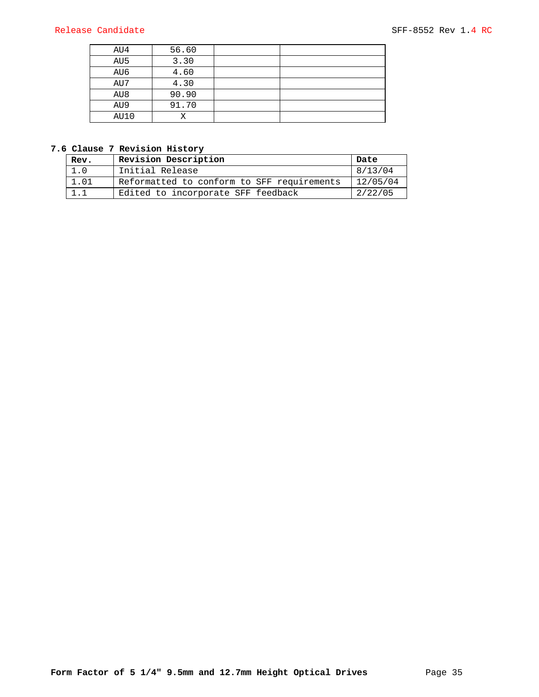| AU4  | 56.60 |  |
|------|-------|--|
| AU5  | 3.30  |  |
| AU6  | 4.60  |  |
| AU7  | 4.30  |  |
| AU8  | 90.90 |  |
| AU9  | 91.70 |  |
| AU10 |       |  |

## **7.6 Clause 7 Revision History**

| Rev. | Revision Description                       | Date     |
|------|--------------------------------------------|----------|
| 1.0  | Initial Release                            | 8/13/04  |
| 1.01 | Reformatted to conform to SFF requirements | 12/05/04 |
|      | Edited to incorporate SFF feedback         | 2/22/05  |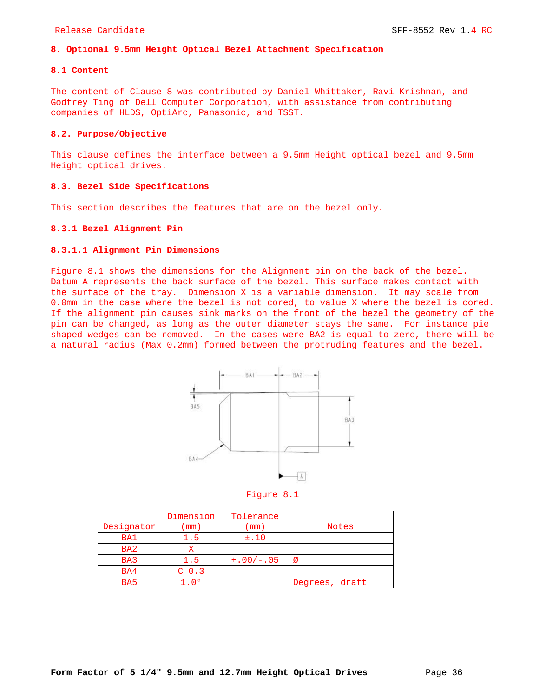## **8. Optional 9.5mm Height Optical Bezel Attachment Specification**

## **8.1 Content**

The content of Clause 8 was contributed by Daniel Whittaker, Ravi Krishnan, and Godfrey Ting of Dell Computer Corporation, with assistance from contributing companies of HLDS, OptiArc, Panasonic, and TSST.

## **8.2. Purpose/Objective**

This clause defines the interface between a 9.5mm Height optical bezel and 9.5mm Height optical drives.

## **8.3. Bezel Side Specifications**

This section describes the features that are on the bezel only.

#### **8.3.1 Bezel Alignment Pin**

#### **8.3.1.1 Alignment Pin Dimensions**

Figure 8.1 shows the dimensions for the Alignment pin on the back of the bezel. Datum A represents the back surface of the bezel. This surface makes contact with the surface of the tray. Dimension X is a variable dimension. It may scale from 0.0mm in the case where the bezel is not cored, to value X where the bezel is cored. If the alignment pin causes sink marks on the front of the bezel the geometry of the pin can be changed, as long as the outer diameter stays the same. For instance pie shaped wedges can be removed. In the cases were BA2 is equal to zero, there will be a natural radius (Max 0.2mm) formed between the protruding features and the bezel.



Figure 8.1

|                 | Dimension        | Tolerance   |                |
|-----------------|------------------|-------------|----------------|
| Designator      | mm)              | mm)         | <b>Notes</b>   |
| BA1             | 1.5              | ±.10        |                |
| BA <sub>2</sub> |                  |             |                |
| BA3             | 1.5              | $+.00/-.05$ | Ø              |
| BA4             | C <sub>0.3</sub> |             |                |
| BA <sub>5</sub> | 1. O º           |             | Degrees, draft |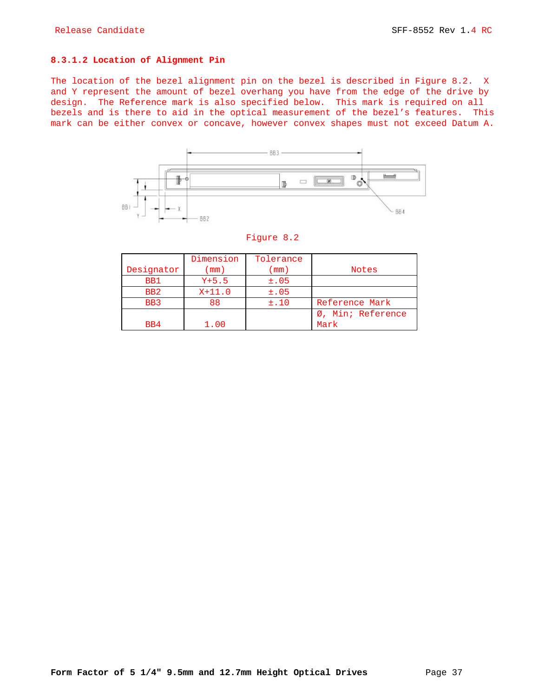### **8.3.1.2 Location of Alignment Pin**

The location of the bezel alignment pin on the bezel is described in Figure 8.2. X and Y represent the amount of bezel overhang you have from the edge of the drive by design. The Reference mark is also specified below. This mark is required on all bezels and is there to aid in the optical measurement of the bezel's features. This mark can be either convex or concave, however convex shapes must not exceed Datum A.



|                 | Dimension | Tolerance  |                   |
|-----------------|-----------|------------|-------------------|
| Designator      | (mm)      | $\pmod{2}$ | <b>Notes</b>      |
| BB1             | $Y+5.5$   | $\pm 0.05$ |                   |
| B <sub>B2</sub> | $X+11.0$  | $\pm 0.05$ |                   |
| BB3             | 88        | ±.10       | Reference Mark    |
|                 |           |            | Ø, Min; Reference |
| B <sub>B4</sub> | 1.00      |            | Mark              |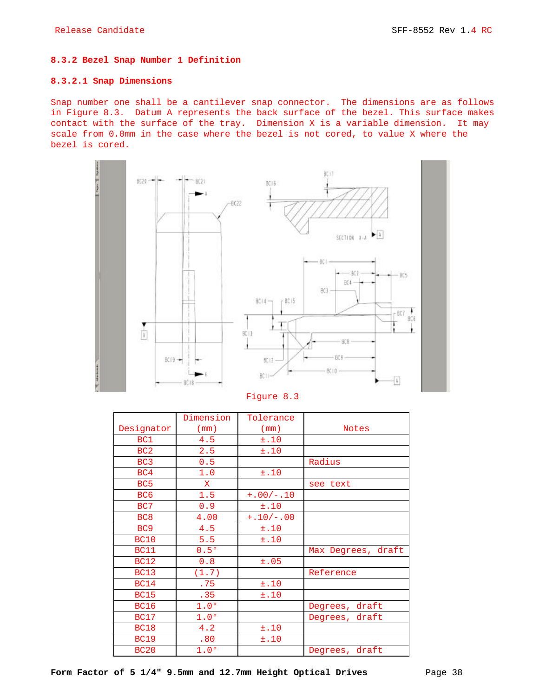## **8.3.2 Bezel Snap Number 1 Definition**

## **8.3.2.1 Snap Dimensions**

Snap number one shall be a cantilever snap connector. The dimensions are as follows in Figure 8.3. Datum A represents the back surface of the bezel. This surface makes contact with the surface of the tray. Dimension X is a variable dimension. It may scale from 0.0mm in the case where the bezel is not cored, to value X where the bezel is cored.



Figure 8.3

|                 | Dimension        | Tolerance   |                    |
|-----------------|------------------|-------------|--------------------|
| Designator      | (mm)             | (mm)        | <b>Notes</b>       |
| BC1             | 4.5              | ±.10        |                    |
| BC <sub>2</sub> | 2.5              | ±.10        |                    |
| BC <sub>3</sub> | 0.5              |             | Radius             |
| BC4             | 1.0              | ±.10        |                    |
| BC <sub>5</sub> | $\mathbf{X}$     |             | see text           |
| BC <sub>6</sub> | 1.5              | $+.00/-.10$ |                    |
| BC7             | 0.9              | ±.10        |                    |
| BC <sub>8</sub> | 4.00             | $+.10/-.00$ |                    |
| BC <sub>9</sub> | 4.5              | ±.10        |                    |
| <b>BC10</b>     | 5.5              | ±.10        |                    |
| <b>BC11</b>     | 0.5°             |             | Max Degrees, draft |
| <b>BC12</b>     | 0.8              | ±.05        |                    |
| <b>BC13</b>     | (1.7)            |             | Reference          |
| <b>BC14</b>     | .75              | ±.10        |                    |
| <b>BC15</b>     | .35              | ±.10        |                    |
| <b>BC16</b>     | 1.0 <sup>o</sup> |             | Degrees, draft     |
| <b>BC17</b>     | 1.0 <sup>o</sup> |             | Degrees, draft     |
| <b>BC18</b>     | 4.2              | ±.10        |                    |
| <b>BC19</b>     | .80              | ±.10        |                    |
| <b>BC20</b>     | 1.0 <sup>o</sup> |             | Degrees, draft     |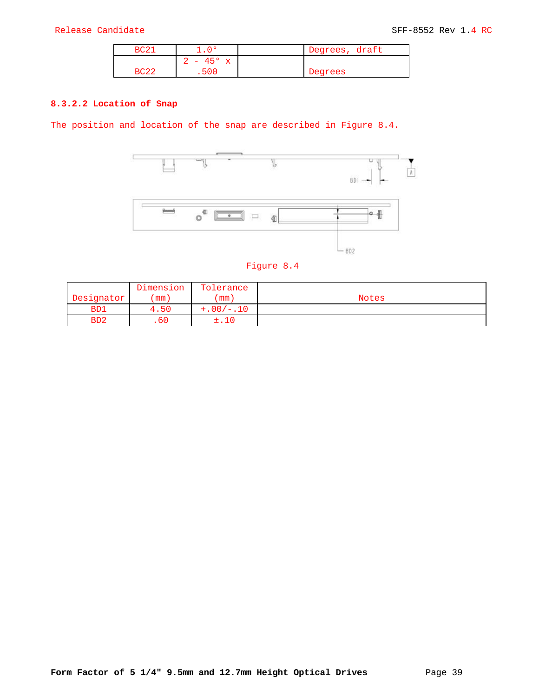| BC2. | n o             | Degrees, draft |  |
|------|-----------------|----------------|--|
|      | $-45^{\circ}$ x |                |  |
| 3C22 | .500            | Degrees        |  |

## **8.3.2.2 Location of Snap**

The position and location of the snap are described in Figure 8.4.



| . |  |  |
|---|--|--|
|   |  |  |

|                  | Dimension | Tolerance   |              |
|------------------|-----------|-------------|--------------|
| Designator       | mm        | mm)         | <b>Notes</b> |
| B <sub>D</sub> 1 | 4.50      | $+.00/-.10$ |              |
| B <sub>D</sub> 2 | . 60      |             |              |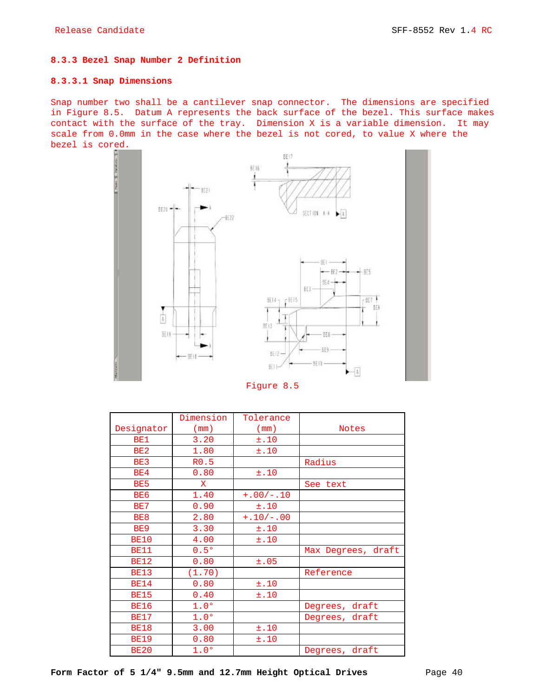#### **8.3.3 Bezel Snap Number 2 Definition**

## **8.3.3.1 Snap Dimensions**

Snap number two shall be a cantilever snap connector. The dimensions are specified in Figure 8.5. Datum A represents the back surface of the bezel. This surface makes contact with the surface of the tray. Dimension X is a variable dimension. It may scale from 0.0mm in the case where the bezel is not cored, to value X where the bezel is cored.



Figure 8.5

|                 | Dimension        | Tolerance   |                    |
|-----------------|------------------|-------------|--------------------|
| Designator      | (mm)             | (mm)        | <b>Notes</b>       |
| BE1             | 3.20             | ±.10        |                    |
| BE <sub>2</sub> | 1.80             | ±.10        |                    |
| BE3             | R0.5             |             | Radius             |
| BE4             | 0.80             | ±.10        |                    |
| BE <sub>5</sub> | $\mathbf{x}$     |             | See text           |
| BE <sub>6</sub> | 1.40             | $+.00/-.10$ |                    |
| BE7             | 0.90             | ±.10        |                    |
| BE8             | 2.80             | $+.10/-.00$ |                    |
| BE <sub>9</sub> | 3.30             | ±.10        |                    |
| <b>BE10</b>     | 4.00             | ±.10        |                    |
| <b>BE11</b>     | 0.5°             |             | Max Degrees, draft |
| <b>BE12</b>     | 0.80             | ±.05        |                    |
| <b>BE13</b>     | (1.70)           |             | Reference          |
| <b>BE14</b>     | 0.80             | ±.10        |                    |
| <b>BE15</b>     | 0.40             | ±.10        |                    |
| <b>BE16</b>     | 1.0 <sup>o</sup> |             | Degrees, draft     |
| <b>BE17</b>     | 1.0 <sup>o</sup> |             | Degrees, draft     |
| <b>BE18</b>     | 3.00             | ±.10        |                    |
| <b>BE19</b>     | 0.80             | ±.10        |                    |
| <b>BE20</b>     | 1.0°             |             | Degrees, draft     |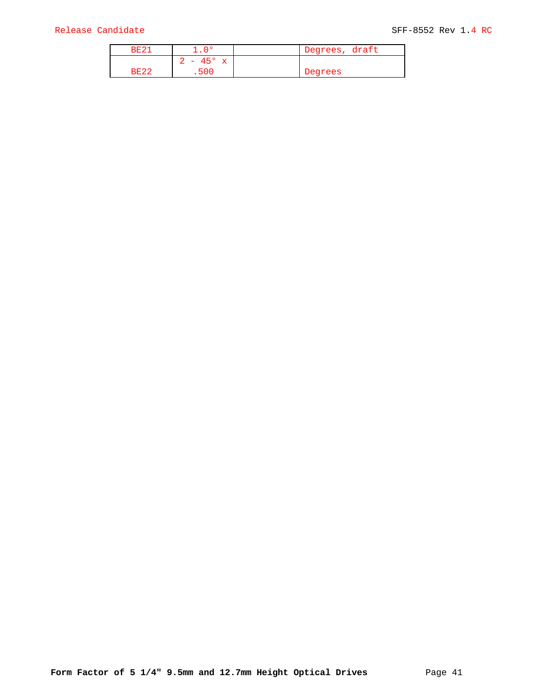| <b>BE23</b> | n o             | Degrees, draft |
|-------------|-----------------|----------------|
|             | $-45^{\circ}$ x |                |
| <b>BE22</b> | 500             | Degrees        |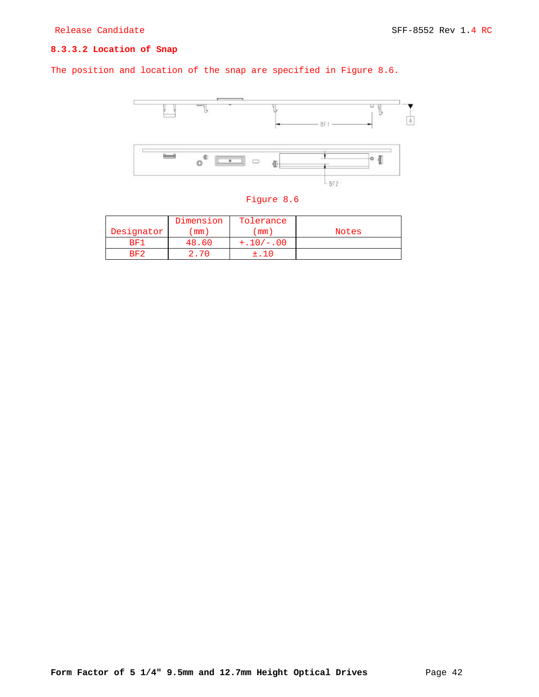## **8.3.3.2 Location of Snap**

The position and location of the snap are specified in Figure 8.6.



|            | Dimension | Tolerance   |              |
|------------|-----------|-------------|--------------|
| Designator | mm)       | mm)         | <b>Notes</b> |
| BF1        | 48.60     | $+.10/-.00$ |              |
| RF2        |           |             |              |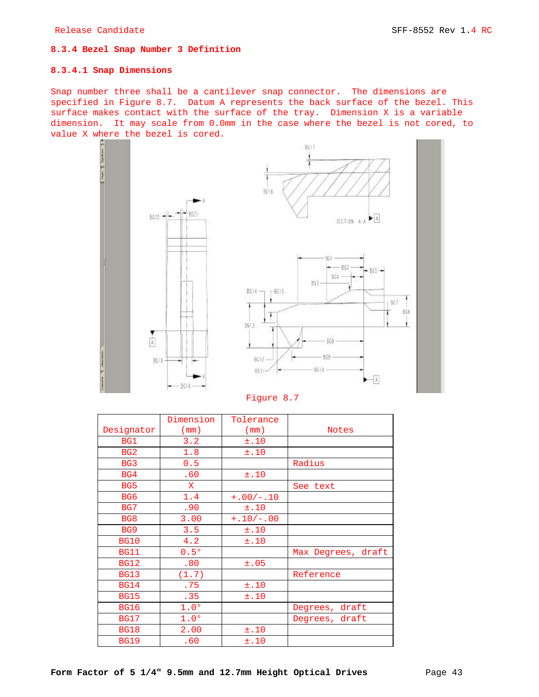## **8.3.4 Bezel Snap Number 3 Definition**

## **8.3.4.1 Snap Dimensions**

Snap number three shall be a cantilever snap connector. The dimensions are specified in Figure 8.7. Datum A represents the back surface of the bezel. This surface makes contact with the surface of the tray. Dimension X is a variable dimension. It may scale from 0.0mm in the case where the bezel is not cored, to value X where the bezel is cored.



Figure 8.7

|                 | Dimension        | Tolerance   |                    |
|-----------------|------------------|-------------|--------------------|
| Designator      | (mm)             | (mm)        | <b>Notes</b>       |
| BG1             | 3.2              | ±.10        |                    |
| BG <sub>2</sub> | 1.8              | ±.10        |                    |
| BG3             | 0.5              |             | Radius             |
| BG4             | .60              | ±.10        |                    |
| BG5             | $\mathbf{X}$     |             | See text           |
| BG <sub>6</sub> | 1.4              | $+.00/-.10$ |                    |
| BG7             | .90              | ±.10        |                    |
| BG8             | 3.00             | $+.10/-.00$ |                    |
| BG <sub>9</sub> | 3.5              | ±.10        |                    |
| <b>BG10</b>     | 4.2              | ±.10        |                    |
| <b>BG11</b>     | 0.5°             |             | Max Degrees, draft |
| <b>BG12</b>     | .80              | ±.05        |                    |
| <b>BG13</b>     | (1.7)            |             | Reference          |
| <b>BG14</b>     | .75              | ±.10        |                    |
| <b>BG15</b>     | .35              | ±.10        |                    |
| <b>BG16</b>     | 1.0 <sup>o</sup> |             | Degrees, draft     |
| <b>BG17</b>     | 1.0 <sup>o</sup> |             | Degrees, draft     |
| <b>BG18</b>     | 2.00             | ±.10        |                    |
| <b>BG19</b>     | .60              | ±.10        |                    |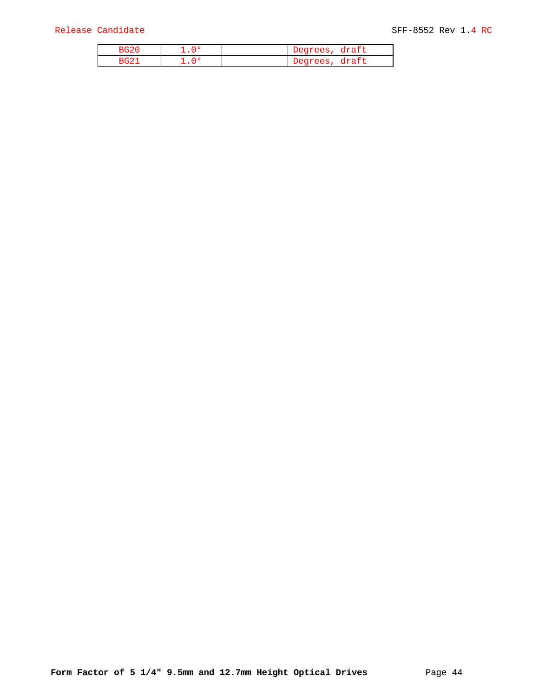|  | Degrees,<br>draft |
|--|-------------------|
|  | draft<br>Degrees  |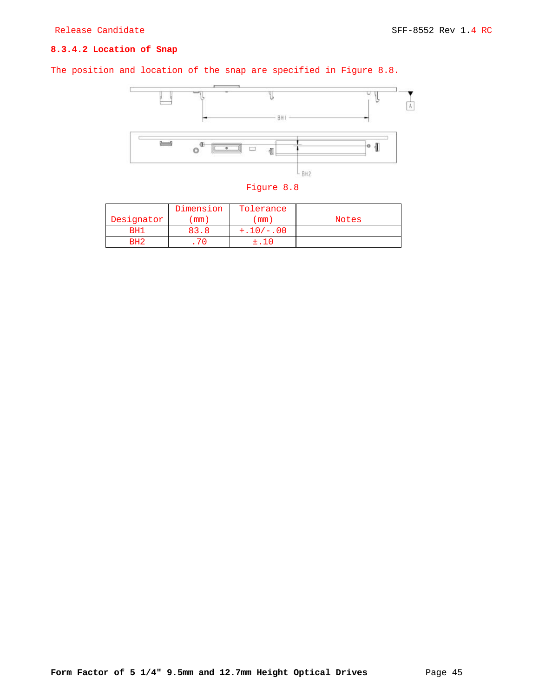## **8.3.4.2 Location of Snap**

The position and location of the snap are specified in Figure 8.8.



Figure 8.8

|                 | Dimension | Tolerance   |       |
|-----------------|-----------|-------------|-------|
| Designator      | mm)       | mm          | Notes |
| RH.             | 83.8      | $+.10/-.00$ |       |
| RH <sup>-</sup> |           |             |       |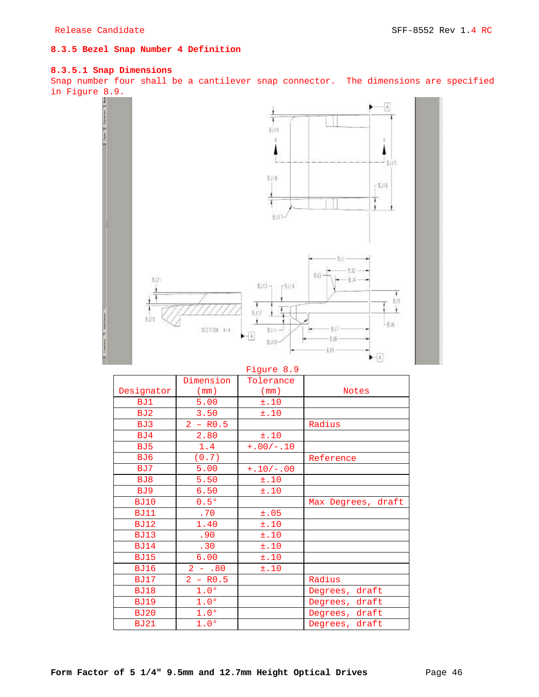## **8.3.5 Bezel Snap Number 4 Definition**

## **8.3.5.1 Snap Dimensions**

Snap number four shall be a cantilever snap connector. The dimensions are specified in Figure 8.9.



## Figure 8.9

|                 | Dimension        | Tolerance   |                    |
|-----------------|------------------|-------------|--------------------|
| Designator      | (mm)             | (mm)        | <b>Notes</b>       |
| BJ1             | 5.00             | ±.10        |                    |
| BJ2             | 3.50             | ±.10        |                    |
| BJ3             | $2 - R0.5$       |             | Radius             |
| BJ4             | 2.80             | ±.10        |                    |
| BJ <sub>5</sub> | 1.4              | $+.00/-.10$ |                    |
| BJ6             | (0.7)            |             | Reference          |
| BJ7             | 5.00             | $+.10/-.00$ |                    |
| BJ8             | 5.50             | ±.10        |                    |
| BJ9             | 6.50             | ±.10        |                    |
| <b>BJ10</b>     | 0.5°             |             | Max Degrees, draft |
| <b>BJ11</b>     | .70              | ±.05        |                    |
| <b>BJ12</b>     | 1.40             | ±.10        |                    |
| <b>BJ13</b>     | .90              | ±.10        |                    |
| <b>BJ14</b>     | .30              | ±.10        |                    |
| <b>BJ15</b>     | 6.00             | ±.10        |                    |
| <b>BJ16</b>     | $2 - .80$        | ±.10        |                    |
| <b>BJ17</b>     | $2 - R0.5$       |             | Radius             |
| <b>BJ18</b>     | 1.0 <sup>o</sup> |             | draft<br>Degrees,  |
| <b>BJ19</b>     | 1.0 <sup>o</sup> |             | draft<br>Degrees,  |
| <b>BJ20</b>     | 1.0 <sup>o</sup> |             | draft<br>Degrees,  |
| <b>BJ21</b>     | 1.0 <sup>o</sup> |             | Degrees, draft     |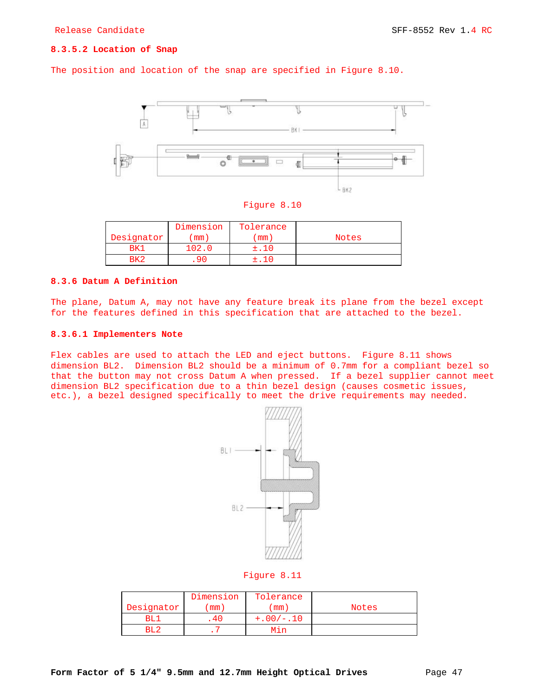## **8.3.5.2 Location of Snap**

The position and location of the snap are specified in Figure 8.10.



| Flaure |  |  |
|--------|--|--|
|--------|--|--|

|            | Dimension | Tolerance |              |
|------------|-----------|-----------|--------------|
| Designator | mm)       | mm        | <b>Notes</b> |
|            | 102.0     |           |              |
|            |           |           |              |

## **8.3.6 Datum A Definition**

The plane, Datum A, may not have any feature break its plane from the bezel except for the features defined in this specification that are attached to the bezel.

### **8.3.6.1 Implementers Note**

Flex cables are used to attach the LED and eject buttons. Figure 8.11 shows dimension BL2. Dimension BL2 should be a minimum of 0.7mm for a compliant bezel so that the button may not cross Datum A when pressed. If a bezel supplier cannot meet dimension BL2 specification due to a thin bezel design (causes cosmetic issues, etc.), a bezel designed specifically to meet the drive requirements may needed.



#### Figure 8.11

|            | Dimension | Tolerance   |       |
|------------|-----------|-------------|-------|
| Designator | mm        | mm          | Notes |
| RT.        |           | $+.00/-.10$ |       |
|            |           |             |       |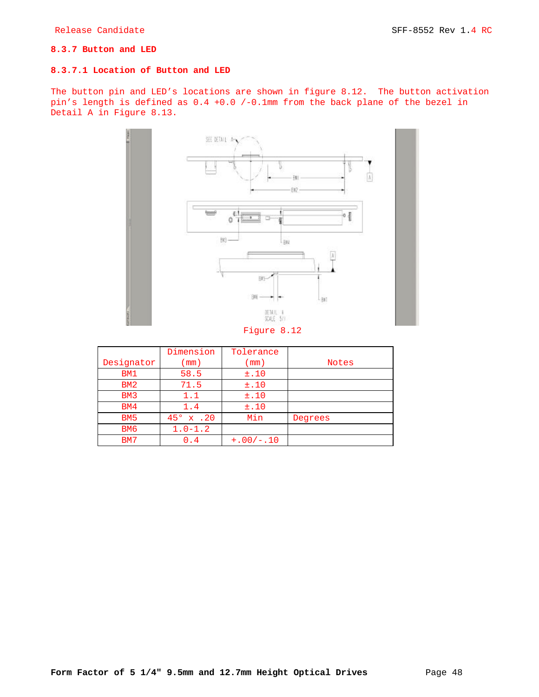## **8.3.7 Button and LED**

## **8.3.7.1 Location of Button and LED**

The button pin and LED's locations are shown in figure 8.12. The button activation pin's length is defined as 0.4 +0.0 /-0.1mm from the back plane of the bezel in Detail A in Figure 8.13.



|                 | Dimension          | Tolerance   |              |
|-----------------|--------------------|-------------|--------------|
| Designator      | $\pmod{2}$         | (mm)        | <b>Notes</b> |
| BM1             | 58.5               | ±.10        |              |
| BM2             | 71.5               | ±.10        |              |
| BM3             | 1.1                | ±.10        |              |
| BM4             | 1.4                | ±.10        |              |
| BM <sub>5</sub> | $45^{\circ}$ x .20 | Min         | Degrees      |
| BM <sub>6</sub> | $1.0 - 1.2$        |             |              |
| BM7             | 0.4                | $+.00/-.10$ |              |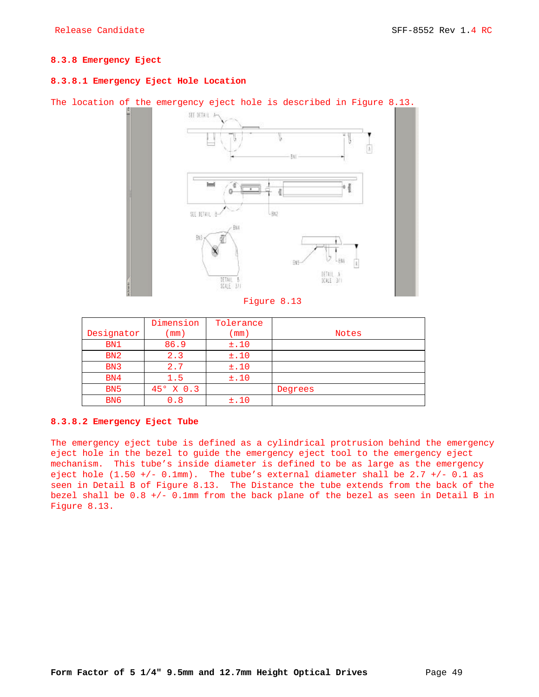## **8.3.8 Emergency Eject**

## **8.3.8.1 Emergency Eject Hole Location**

## The location of the emergency eject hole is described in Figure 8.13.



### Figure 8.13

|                  | Dimension          | Tolerance  |              |
|------------------|--------------------|------------|--------------|
| Designator       | $\pmod{2}$         | $\pmod{2}$ | <b>Notes</b> |
| BN1              | 86.9               | ±.10       |              |
| BN2              | 2.3                | ±.10       |              |
| B <sub>N</sub> 3 | 2.7                | ±.10       |              |
| BN4              | 1.5                | ±.10       |              |
| B <sub>N</sub> 5 | $45^{\circ}$ X 0.3 |            | Degrees      |
| B <sub>N6</sub>  | 0.8                | ±.10       |              |

## **8.3.8.2 Emergency Eject Tube**

The emergency eject tube is defined as a cylindrical protrusion behind the emergency eject hole in the bezel to guide the emergency eject tool to the emergency eject mechanism. This tube's inside diameter is defined to be as large as the emergency eject hole  $(1.50 +/- 0.1mm)$ . The tube's external diameter shall be 2.7 +/- 0.1 as seen in Detail B of Figure 8.13. The Distance the tube extends from the back of the bezel shall be 0.8 +/- 0.1mm from the back plane of the bezel as seen in Detail B in Figure 8.13.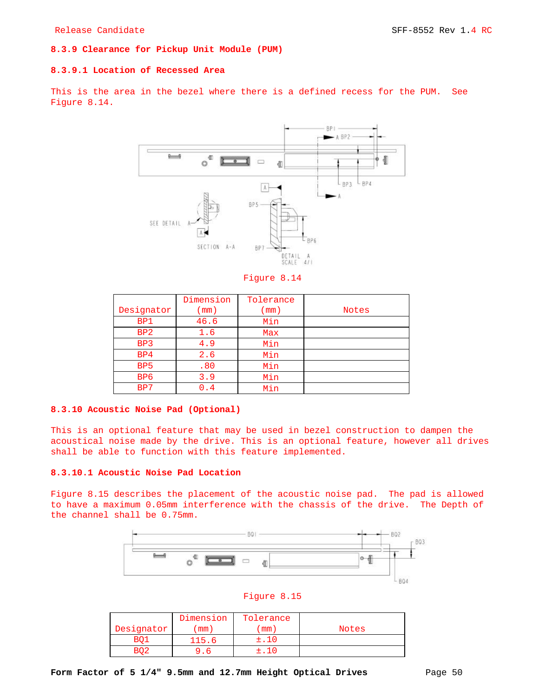## **8.3.9 Clearance for Pickup Unit Module (PUM)**

#### **8.3.9.1 Location of Recessed Area**

This is the area in the bezel where there is a defined recess for the PUM. See Figure 8.14.



Figure 8.14

|                  | Dimension  | Tolerance  |              |
|------------------|------------|------------|--------------|
| Designator       | $\pmod{2}$ | $\pmod{2}$ | <b>Notes</b> |
| BP1              | 46.6       | Min        |              |
| B <sub>P2</sub>  | 1.6        | Max        |              |
| BP3              | 4.9        | Min        |              |
| B <sub>P</sub> 4 | 2.6        | Min        |              |
| B <sub>P5</sub>  | .80        | Min        |              |
| B <sub>P</sub> 6 | 3.9        | Min        |              |
| BP7              | . 4        | Min        |              |

## **8.3.10 Acoustic Noise Pad (Optional)**

This is an optional feature that may be used in bezel construction to dampen the acoustical noise made by the drive. This is an optional feature, however all drives shall be able to function with this feature implemented.

## **8.3.10.1 Acoustic Noise Pad Location**

Figure 8.15 describes the placement of the acoustic noise pad. The pad is allowed to have a maximum 0.05mm interference with the chassis of the drive. The Depth of the channel shall be 0.75mm.





|            | Dimension | Tolerance |              |
|------------|-----------|-----------|--------------|
| Designator | mm)       | mm        | <b>Notes</b> |
| RN         | l15.6     | ±.10      |              |
|            |           | + 10      |              |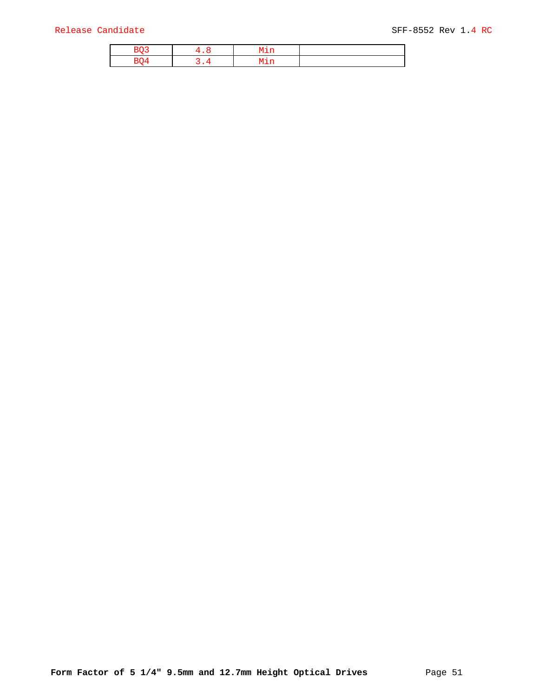## Release Candidate SFF-8552 Rev 1.4 RC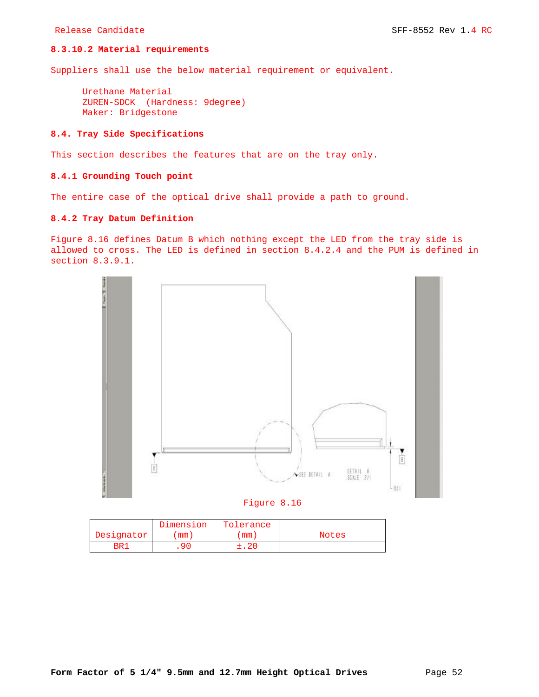## **8.3.10.2 Material requirements**

Suppliers shall use the below material requirement or equivalent.

Urethane Material ZUREN-SDCK (Hardness: 9degree) Maker: Bridgestone

## **8.4. Tray Side Specifications**

This section describes the features that are on the tray only.

## **8.4.1 Grounding Touch point**

The entire case of the optical drive shall provide a path to ground.

## **8.4.2 Tray Datum Definition**

Figure 8.16 defines Datum B which nothing except the LED from the tray side is allowed to cross. The LED is defined in section 8.4.2.4 and the PUM is defined in section 8.3.9.1.





|            | Dimension | Tolerance |       |
|------------|-----------|-----------|-------|
| Designator | $mm$ )    | mm        | Notes |
| BR.        | 90        | : . 20    |       |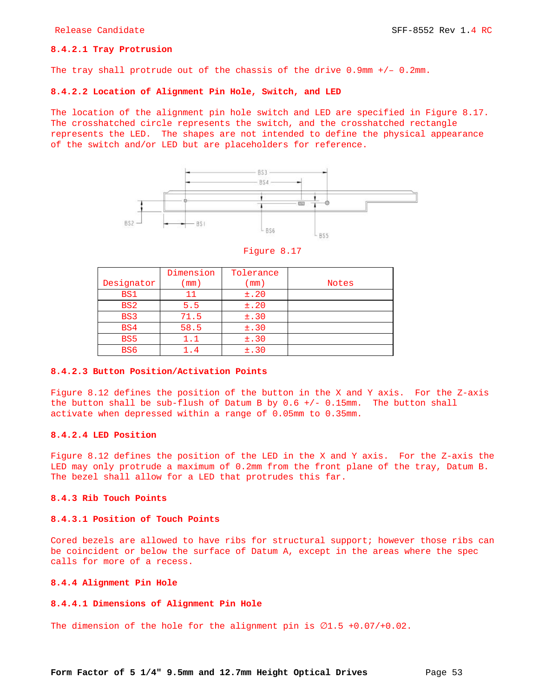## **8.4.2.1 Tray Protrusion**

The tray shall protrude out of the chassis of the drive 0.9mm +/– 0.2mm.

#### **8.4.2.2 Location of Alignment Pin Hole, Switch, and LED**

The location of the alignment pin hole switch and LED are specified in Figure 8.17. The crosshatched circle represents the switch, and the crosshatched rectangle represents the LED. The shapes are not intended to define the physical appearance of the switch and/or LED but are placeholders for reference.



Figure 8.17

|                 | Dimension | Tolerance       |              |
|-----------------|-----------|-----------------|--------------|
| Designator      | mm)       | $\mathsf{mm}$ ) | <b>Notes</b> |
| BS1             |           | $\pm$ .20       |              |
| BS <sub>2</sub> | 5.5       | ±.20            |              |
| BS3             | 71.5      | $\pm$ .30       |              |
| BS4             | 58.5      | ±.30            |              |
| BS <sub>5</sub> | 1.1       | ±.30            |              |
| BS <sub>6</sub> | . 4       | $\pm$ .30       |              |

## **8.4.2.3 Button Position/Activation Points**

Figure 8.12 defines the position of the button in the X and Y axis. For the Z-axis the button shall be sub-flush of Datum B by  $0.6$  +/-  $0.15$ mm. The button shall activate when depressed within a range of 0.05mm to 0.35mm.

## **8.4.2.4 LED Position**

Figure 8.12 defines the position of the LED in the X and Y axis. For the Z-axis the LED may only protrude a maximum of 0.2mm from the front plane of the tray, Datum B. The bezel shall allow for a LED that protrudes this far.

## **8.4.3 Rib Touch Points**

## **8.4.3.1 Position of Touch Points**

Cored bezels are allowed to have ribs for structural support; however those ribs can be coincident or below the surface of Datum A, except in the areas where the spec calls for more of a recess.

#### **8.4.4 Alignment Pin Hole**

## **8.4.4.1 Dimensions of Alignment Pin Hole**

The dimension of the hole for the alignment pin is  $\emptyset1.5$  +0.07/+0.02.